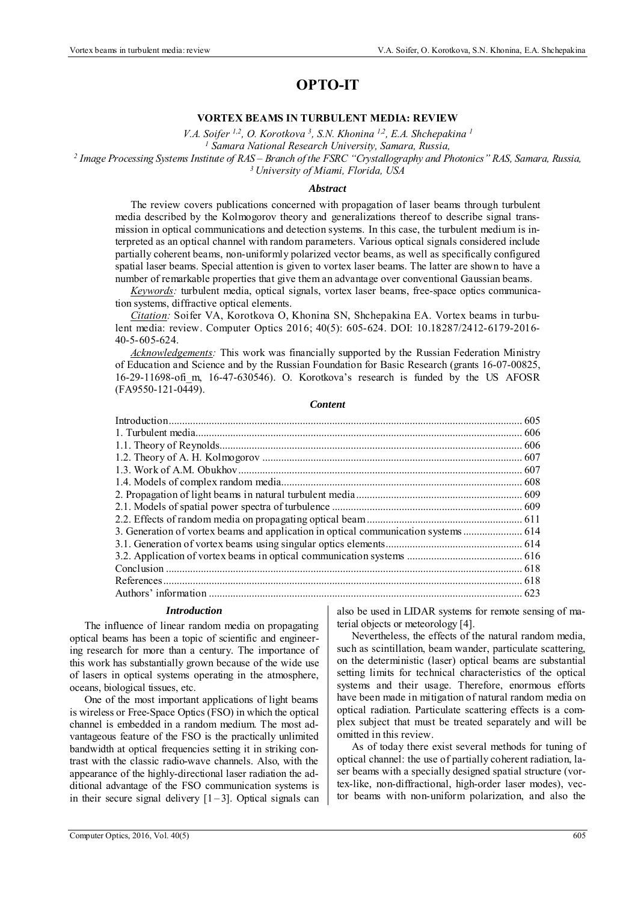# **OPTO-IT**

### **VORTEX BEAMS IN TURBULENT MEDIA: REVIEW**

*V.A. Soifer 1,2, О. Korotkova 3, S.N. Khonina 1,2, Е.А. Shchepakina 1*

*1 Samara National Research University, Samara, Russia, 2 Image Processing Systems Institute of RAS – Branch of the FSRC "Crystallography and Photonics" RAS, Samara, Russia, 3 University of Miami, Florida, USA* 

#### *Abstract*

The review covers publications concerned with propagation of laser beams through turbulent media described by the Kolmogorov theory and generalizations thereof to describe signal transmission in optical communications and detection systems. In this case, the turbulent medium is interpreted as an optical channel with random parameters. Various optical signals considered include partially coherent beams, non-uniformly polarized vector beams, as well as specifically configured spatial laser beams. Special attention is given to vortex laser beams. The latter are shown to have a number of remarkable properties that give them an advantage over conventional Gaussian beams.

*Keywords:* turbulent media, optical signals, vortex laser beams, free-space optics communication systems, diffractive optical elements.

*Citation:* Soifer VA, Korotkova О, Khonina SN, Shchepakina ЕА. Vortex beams in turbulent media: review. Computer Optics 2016; 40(5): 605-624. DOI: 10.18287/2412-6179-2016- 40-5-605-624.

*Acknowledgements:* This work was financially supported by the Russian Federation Ministry of Education and Science and by the Russian Foundation for Basic Research (grants 16-07-00825, 16-29-11698-ofi\_m, 16-47-630546). O. Korotkova's research is funded by the US AFOSR (FA9550-121-0449).

#### *Content*

#### *Introduction*

The influence of linear random media on propagating optical beams has been a topic of scientific and engineering research for more than a century. The importance of this work has substantially grown because of the wide use of lasers in optical systems operating in the atmosphere, oceans, biological tissues, etc.

One of the most important applications of light beams is wireless or Free-Space Optics (FSO) in which the optical channel is embedded in a random medium. The most advantageous feature of the FSO is the practically unlimited bandwidth at optical frequencies setting it in striking contrast with the classic radio-wave channels. Also, with the appearance of the highly-directional laser radiation the additional advantage of the FSO communication systems is in their secure signal delivery  $[1-3]$ . Optical signals can also be used in LIDAR systems for remote sensing of material objects or meteorology [4].

Nevertheless, the effects of the natural random media, such as scintillation, beam wander, particulate scattering, on the deterministic (laser) optical beams are substantial setting limits for technical characteristics of the optical systems and their usage. Therefore, enormous efforts have been made in mitigation of natural random media on optical radiation. Particulate scattering effects is a complex subject that must be treated separately and will be omitted in this review.

As of today there exist several methods for tuning of optical channel: the use of partially coherent radiation, laser beams with a specially designed spatial structure (vortex-like, non-diffractional, high-order laser modes), vector beams with non-uniform polarization, and also the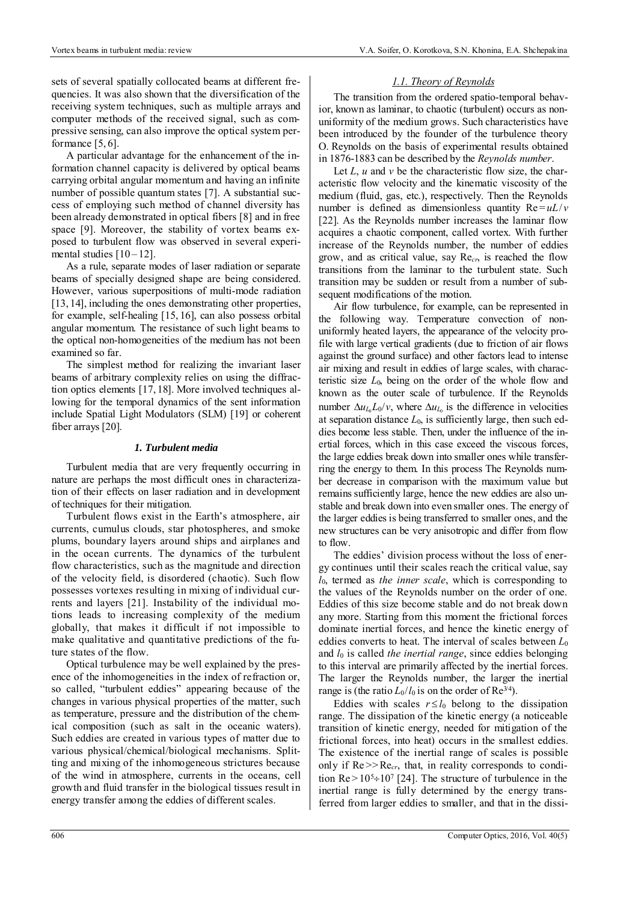sets of several spatially collocated beams at different frequencies. It was also shown that the diversification of the receiving system techniques, such as multiple arrays and computer methods of the received signal, such as compressive sensing, can also improve the optical system performance [5, 6].

A particular advantage for the enhancement of the information channel capacity is delivered by optical beams carrying orbital angular momentum and having an infinite number of possible quantum states [7]. A substantial success of employing such method of channel diversity has been already demonstrated in optical fibers [8] and in free space [9]. Moreover, the stability of vortex beams exposed to turbulent flow was observed in several experimental studies  $[10 - 12]$ .

As a rule, separate modes of laser radiation or separate beams of specially designed shape are being considered. However, various superpositions of multi-mode radiation [13, 14], including the ones demonstrating other properties, for example, self-healing [15, 16], can also possess orbital angular momentum. The resistance of such light beams to the optical non-homogeneities of the medium has not been examined so far.

The simplest method for realizing the invariant laser beams of arbitrary complexity relies on using the diffraction optics elements [17, 18]. More involved techniques allowing for the temporal dynamics of the sent information include Spatial Light Modulators (SLM) [19] or coherent fiber arrays [20].

## *1. Turbulent media*

Turbulent media that are very frequently occurring in nature are perhaps the most difficult ones in characterization of their effects on laser radiation and in development of techniques for their mitigation.

Turbulent flows exist in the Earth's atmosphere, air currents, cumulus clouds, star photospheres, and smoke plums, boundary layers around ships and airplanes and in the ocean currents. The dynamics of the turbulent flow characteristics, such as the magnitude and direction of the velocity field, is disordered (chaotic). Such flow possesses vortexes resulting in mixing of individual currents and layers [21]. Instability of the individual motions leads to increasing complexity of the medium globally, that makes it difficult if not impossible to make qualitative and quantitative predictions of the future states of the flow.

Optical turbulence may be well explained by the presence of the inhomogeneities in the index of refraction or, so called, "turbulent eddies" appearing because of the changes in various physical properties of the matter, such as temperature, pressure and the distribution of the chemical composition (such as salt in the oceanic waters). Such eddies are created in various types of matter due to various physical/chemical/biological mechanisms. Splitting and mixing of the inhomogeneous strictures because of the wind in atmosphere, currents in the oceans, cell growth and fluid transfer in the biological tissues result in energy transfer among the eddies of different scales.

# *1.1. Theory of Reynolds*

The transition from the ordered spatio-temporal behavior, known as laminar, to chaotic (turbulent) occurs as nonuniformity of the medium grows. Such characteristics have been introduced by the founder of the turbulence theory О. Reynolds on the basis of experimental results obtained in 1876-1883 can be described by the *Reynolds number*.

Let *L*, *u* and *v* be the characteristic flow size, the characteristic flow velocity and the kinematic viscosity of the medium (fluid, gas, etc.), respectively. Then the Reynolds number is defined as dimensionless quantity  $Re = uL/v$ [22]. As the Reynolds number increases the laminar flow acquires a chaotic component, called vortex. With further increase of the Reynolds number, the number of eddies grow, and as critical value, say Re*cr*, is reached the flow transitions from the laminar to the turbulent state. Such transition may be sudden or result from a number of subsequent modifications of the motion.

Air flow turbulence, for example, can be represented in the following way. Temperature convection of nonuniformly heated layers, the appearance of the velocity profile with large vertical gradients (due to friction of air flows against the ground surface) and other factors lead to intense air mixing and result in eddies of large scales, with characteristic size  $L_0$ , being on the order of the whole flow and known as the outer scale of turbulence. If the Reynolds number  $\Delta u_{L_0} L_0/v$ , where  $\Delta u_{L_0}$  is the difference in velocities at separation distance *L*0, is sufficiently large, then such eddies become less stable. Then, under the influence of the inertial forces, which in this case exceed the viscous forces, the large eddies break down into smaller ones while transferring the energy to them. In this process The Reynolds number decrease in comparison with the maximum value but remains sufficiently large, hence the new eddies are also unstable and break down into even smaller ones. The energy of the larger eddies is being transferred to smaller ones, and the new structures can be very anisotropic and differ from flow to flow.

The eddies' division process without the loss of energy continues until their scales reach the critical value, say *l*0, termed as *the inner scale*, which is corresponding to the values of the Reynolds number on the order of one. Eddies of this size become stable and do not break down any more. Starting from this moment the frictional forces dominate inertial forces, and hence the kinetic energy of eddies converts to heat. The interval of scales between *L*<sup>0</sup> and  $l_0$  is called *the inertial range*, since eddies belonging to this interval are primarily affected by the inertial forces. The larger the Reynolds number, the larger the inertial range is (the ratio  $L_0/l_0$  is on the order of Re<sup>3/4</sup>).

Eddies with scales  $r \le l_0$  belong to the dissipation range. The dissipation of the kinetic energy (a noticeable transition of kinetic energy, needed for mitigation of the frictional forces, into heat) occurs in the smallest eddies. The existence of the inertial range of scales is possible only if  $Re \gg Re_{cr}$ , that, in reality corresponds to condition  $Re > 10^5 \div 10^7$  [24]. The structure of turbulence in the inertial range is fully determined by the energy transferred from larger eddies to smaller, and that in the dissi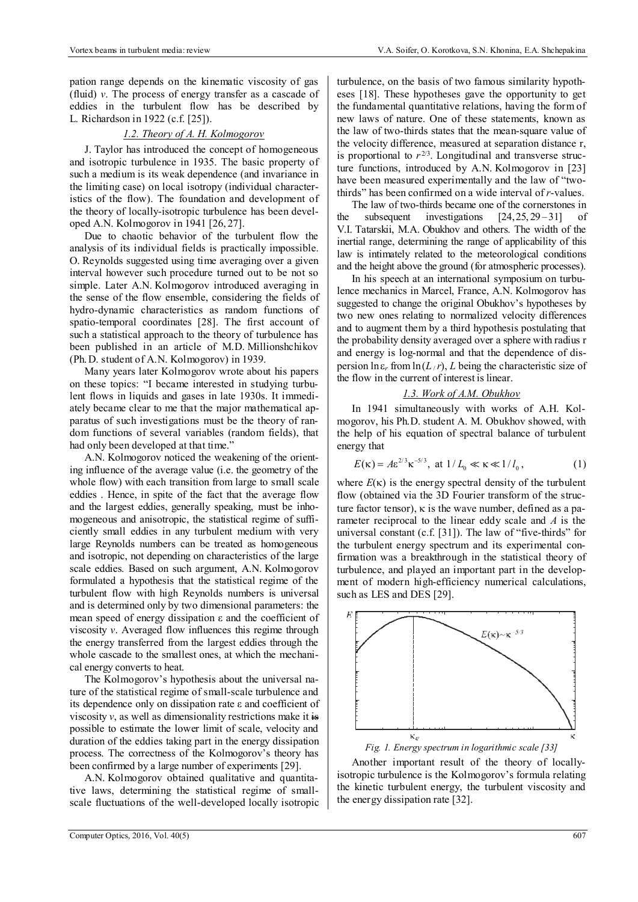pation range depends on the kinematic viscosity of gas (fluid) *v*. The process of energy transfer as a cascade of eddies in the turbulent flow has be described by L. Richardson in 1922 (c.f. [25]).

# *1.2. Theory of A. H. Kolmogorov*

J. Taylor has introduced the concept of homogeneous and isotropic turbulence in 1935. The basic property of such a medium is its weak dependence (and invariance in the limiting case) on local isotropy (individual characteristics of the flow). The foundation and development of the theory of locally-isotropic turbulence has been developed A.N. Kolmogorov in 1941 [26, 27].

Due to chaotic behavior of the turbulent flow the analysis of its individual fields is practically impossible. O. Reynolds suggested using time averaging over a given interval however such procedure turned out to be not so simple. Later A.N. Kolmogorov introduced averaging in the sense of the flow ensemble, considering the fields of hydro-dynamic characteristics as random functions of spatio-temporal coordinates [28]. The first account of such a statistical approach to the theory of turbulence has been published in an article of M.D. Millionshchikov (Ph. D. student of A.N. Kolmogorov) in 1939.

Many years later Kolmogorov wrote about his papers on these topics: "I became interested in studying turbulent flows in liquids and gases in late 1930s. It immediately became clear to me that the major mathematical apparatus of such investigations must be the theory of random functions of several variables (random fields), that had only been developed at that time."

A.N. Kolmogorov noticed the weakening of the orienting influence of the average value (i.e. the geometry of the whole flow) with each transition from large to small scale eddies . Hence, in spite of the fact that the average flow and the largest eddies, generally speaking, must be inhomogeneous and anisotropic, the statistical regime of sufficiently small eddies in any turbulent medium with very large Reynolds numbers can be treated as homogeneous and isotropic, not depending on characteristics of the large scale eddies. Based on such argument, A.N. Kolmogorov formulated a hypothesis that the statistical regime of the turbulent flow with high Reynolds numbers is universal and is determined only by two dimensional parameters: the mean speed of energy dissipation ε and the coefficient of viscosity *v*. Averaged flow influences this regime through the energy transferred from the largest eddies through the whole cascade to the smallest ones, at which the mechanical energy converts to heat.

The Kolmogorov's hypothesis about the universal nature of the statistical regime of small-scale turbulence and its dependence only on dissipation rate ε and coefficient of viscosity  $v$ , as well as dimensionality restrictions make it  $\frac{1}{2}$ possible to estimate the lower limit of scale, velocity and duration of the eddies taking part in the energy dissipation process. The correctness of the Kolmogorov's theory has been confirmed by a large number of experiments [29].

A.N. Kolmogorov obtained qualitative and quantitative laws, determining the statistical regime of smallscale fluctuations of the well-developed locally isotropic turbulence, on the basis of two famous similarity hypotheses [18]. These hypotheses gave the opportunity to get the fundamental quantitative relations, having the form of new laws of nature. One of these statements, known as the law of two-thirds states that the mean-square value of the velocity difference, measured at separation distance r, is proportional to  $r^{2/3}$ . Longitudinal and transverse structure functions, introduced by A.N. Kolmogorov in [23] have been measured experimentally and the law of "twothirds" has been confirmed on a wide interval of *r*-values.

The law of two-thirds became one of the cornerstones in the subsequent investigations  $[24, 25, 29-31]$  of V.I. Tatarskii, M.A. Obukhov and others. The width of the inertial range, determining the range of applicability of this law is intimately related to the meteorological conditions and the height above the ground (for atmospheric processes).

In his speech at an international symposium on turbulence mechanics in Marcel, France, A.N. Kolmogorov has suggested to change the original Obukhov's hypotheses by two new ones relating to normalized velocity differences and to augment them by a third hypothesis postulating that the probability density averaged over a sphere with radius r and energy is log-normal and that the dependence of dispersion  $\ln \epsilon_r$  from  $\ln(L/r)$ , *L* being the characteristic size of the flow in the current of interest is linear.

## *1.3. Work of A.M. Obukhov*

In 1941 simultaneously with works of A.H. Kolmogorov, his Ph.D. student A. M. Obukhov showed, with the help of his equation of spectral balance of turbulent energy that

$$
E(\kappa) = A \varepsilon^{2/3} \kappa^{-5/3}, \text{ at } 1/L_0 \ll \kappa \ll 1/l_0,
$$
 (1)

where  $E(\kappa)$  is the energy spectral density of the turbulent flow (obtained via the 3D Fourier transform of the structure factor tensor),  $\kappa$  is the wave number, defined as a parameter reciprocal to the linear eddy scale and *A* is the universal constant (c.f. [31]). The law of "five-thirds" for the turbulent energy spectrum and its experimental confirmation was a breakthrough in the statistical theory of turbulence, and played an important part in the development of modern high-efficiency numerical calculations, such as LES and DES [29].



Another important result of the theory of locallyisotropic turbulence is the Kolmogorov's formula relating the kinetic turbulent energy, the turbulent viscosity and the energy dissipation rate [32].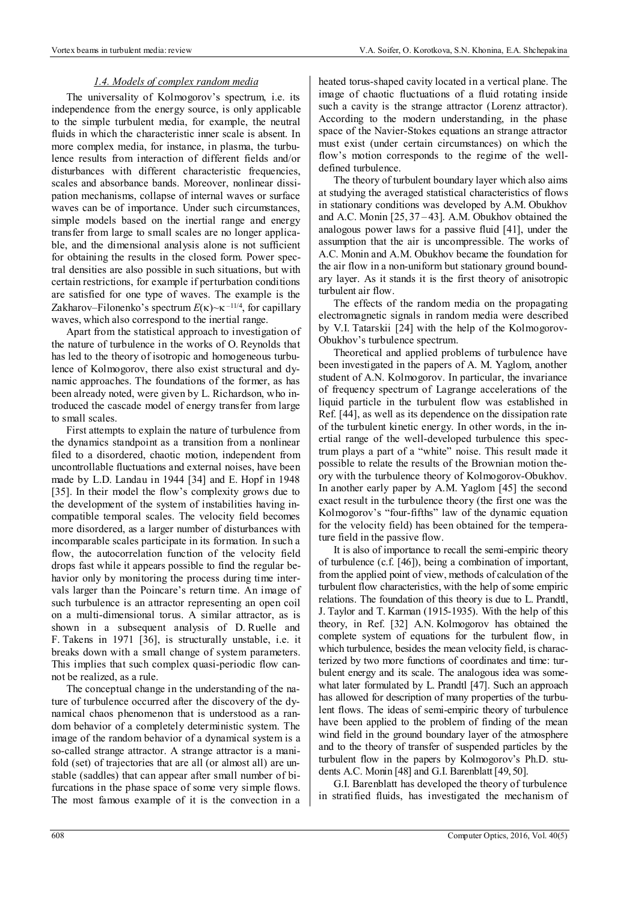#### *1.4. Models of complex random media*

The universality of Kolmogorov's spectrum, i.e. its independence from the energy source, is only applicable to the simple turbulent media, for example, the neutral fluids in which the characteristic inner scale is absent. In more complex media, for instance, in plasma, the turbulence results from interaction of different fields and/or disturbances with different characteristic frequencies, scales and absorbance bands. Moreover, nonlinear dissipation mechanisms, collapse of internal waves or surface waves can be of importance. Under such circumstances, simple models based on the inertial range and energy transfer from large to small scales are no longer applicable, and the dimensional analysis alone is not sufficient for obtaining the results in the closed form. Power spectral densities are also possible in such situations, but with certain restrictions, for example if perturbation conditions are satisfied for one type of waves. The example is the Zakharov–Filonenko's spectrum  $E(\kappa) \sim \kappa^{-11/4}$ , for capillary waves, which also correspond to the inertial range.

Apart from the statistical approach to investigation of the nature of turbulence in the works of O. Reynolds that has led to the theory of isotropic and homogeneous turbulence of Kolmogorov, there also exist structural and dynamic approaches. The foundations of the former, as has been already noted, were given by L. Richardson, who introduced the cascade model of energy transfer from large to small scales.

First attempts to explain the nature of turbulence from the dynamics standpoint as a transition from a nonlinear filed to a disordered, chaotic motion, independent from uncontrollable fluctuations and external noises, have been made by L.D. Landau in 1944 [34] and E. Hopf in 1948 [35]. In their model the flow's complexity grows due to the development of the system of instabilities having incompatible temporal scales. The velocity field becomes more disordered, as a larger number of disturbances with incomparable scales participate in its formation. In such a flow, the autocorrelation function of the velocity field drops fast while it appears possible to find the regular behavior only by monitoring the process during time intervals larger than the Poincare's return time. An image of such turbulence is an attractor representing an open coil on a multi-dimensional torus. A similar attractor, as is shown in a subsequent analysis of D. Ruelle and F. Takens in 1971 [36], is structurally unstable, i.e. it breaks down with a small change of system parameters. This implies that such complex quasi-periodic flow cannot be realized, as a rule.

The conceptual change in the understanding of the nature of turbulence occurred after the discovery of the dynamical chaos phenomenon that is understood as a random behavior of a completely deterministic system. The image of the random behavior of a dynamical system is a so-called strange attractor. A strange attractor is a manifold (set) of trajectories that are all (or almost all) are unstable (saddles) that can appear after small number of bifurcations in the phase space of some very simple flows. The most famous example of it is the convection in a heated torus-shaped cavity located in a vertical plane. The image of chaotic fluctuations of a fluid rotating inside such a cavity is the strange attractor (Lorenz attractor). According to the modern understanding, in the phase space of the Navier-Stokes equations an strange attractor must exist (under certain circumstances) on which the flow's motion corresponds to the regime of the welldefined turbulence.

The theory of turbulent boundary layer which also aims at studying the averaged statistical characteristics of flows in stationary conditions was developed by A.M. Obukhov and A.C. Monin [25, 37 – 43]. A.M. Obukhov obtained the analogous power laws for a passive fluid [41], under the assumption that the air is uncompressible. The works of A.C. Monin and A.M. Obukhov became the foundation for the air flow in a non-uniform but stationary ground boundary layer. As it stands it is the first theory of anisotropic turbulent air flow.

The effects of the random media on the propagating electromagnetic signals in random media were described by V.I. Tatarskii [24] with the help of the Kolmogorov-Obukhov's turbulence spectrum.

Theoretical and applied problems of turbulence have been investigated in the papers of A. M. Yaglom, another student of A.N. Kolmogorov. In particular, the invariance of frequency spectrum of Lagrange accelerations of the liquid particle in the turbulent flow was established in Ref. [44], as well as its dependence on the dissipation rate of the turbulent kinetic energy. In other words, in the inertial range of the well-developed turbulence this spectrum plays a part of a "white" noise. This result made it possible to relate the results of the Brownian motion theory with the turbulence theory of Kolmogorov-Obukhov. In another early paper by A.M. Yaglom [45] the second exact result in the turbulence theory (the first one was the Kolmogorov's "four-fifths" law of the dynamic equation for the velocity field) has been obtained for the temperature field in the passive flow.

It is also of importance to recall the semi-empiric theory of turbulence (c.f. [46]), being a combination of important, from the applied point of view, methods of calculation of the turbulent flow characteristics, with the help of some empiric relations. The foundation of this theory is due to L. Prandtl, J. Taylor and T. Karman (1915-1935). With the help of this theory, in Ref. [32] A.N. Kolmogorov has obtained the complete system of equations for the turbulent flow, in which turbulence, besides the mean velocity field, is characterized by two more functions of coordinates and time: turbulent energy and its scale. The analogous idea was somewhat later formulated by L. Prandtl [47]. Such an approach has allowed for description of many properties of the turbulent flows. The ideas of semi-empiric theory of turbulence have been applied to the problem of finding of the mean wind field in the ground boundary layer of the atmosphere and to the theory of transfer of suspended particles by the turbulent flow in the papers by Kolmogorov's Ph.D. students A.C. Monin [48] and G.I. Barenblatt [49, 50].

G.I. Barenblatt has developed the theory of turbulence in stratified fluids, has investigated the mechanism of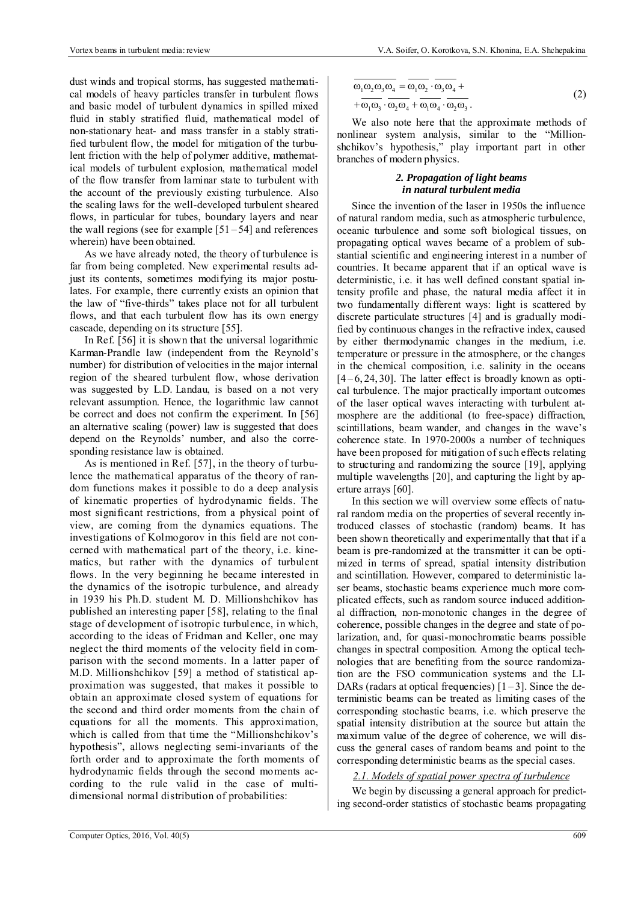dust winds and tropical storms, has suggested mathematical models of heavy particles transfer in turbulent flows and basic model of turbulent dynamics in spilled mixed fluid in stably stratified fluid, mathematical model of non-stationary heat- and mass transfer in a stably stratified turbulent flow, the model for mitigation of the turbulent friction with the help of polymer additive, mathematical models of turbulent explosion, mathematical model of the flow transfer from laminar state to turbulent with the account of the previously existing turbulence. Also the scaling laws for the well-developed turbulent sheared flows, in particular for tubes, boundary layers and near the wall regions (see for example  $[51-54]$  and references wherein) have been obtained.

As we have already noted, the theory of turbulence is far from being completed. New experimental results adjust its contents, sometimes modifying its major postulates. For example, there currently exists an opinion that the law of "five-thirds" takes place not for all turbulent flows, and that each turbulent flow has its own energy cascade, depending on its structure [55].

In Ref. [56] it is shown that the universal logarithmic Karman-Prandle law (independent from the Reynold's number) for distribution of velocities in the major internal region of the sheared turbulent flow, whose derivation was suggested by L.D. Landau, is based on a not very relevant assumption. Hence, the logarithmic law cannot be correct and does not confirm the experiment. In [56] an alternative scaling (power) law is suggested that does depend on the Reynolds' number, and also the corresponding resistance law is obtained.

As is mentioned in Ref. [57], in the theory of turbulence the mathematical apparatus of the theory of random functions makes it possible to do a deep analysis of kinematic properties of hydrodynamic fields. The most significant restrictions, from a physical point of view, are coming from the dynamics equations. The investigations of Kolmogorov in this field are not concerned with mathematical part of the theory, i.e. kinematics, but rather with the dynamics of turbulent flows. In the very beginning he became interested in the dynamics of the isotropic turbulence, and already in 1939 his Ph.D. student M. D. Millionshchikov has published an interesting paper [58], relating to the final stage of development of isotropic turbulence, in which, according to the ideas of Fridman and Keller, one may neglect the third moments of the velocity field in comparison with the second moments. In a latter paper of M.D. Millionshchikov [59] a method of statistical approximation was suggested, that makes it possible to obtain an approximate closed system of equations for the second and third order moments from the chain of equations for all the moments. This approximation, which is called from that time the "Millionshchikov's hypothesis", allows neglecting semi-invariants of the forth order and to approximate the forth moments of hydrodynamic fields through the second moments according to the rule valid in the case of multidimensional normal distribution of probabilities:

$$
\overline{\omega_1 \omega_2 \omega_3 \omega_4} = \overline{\omega_1 \omega_2} \cdot \overline{\omega_3 \omega_4} + \overline{\omega_1 \omega_3} \cdot \overline{\omega_2 \omega_4} + \overline{\omega_1 \omega_3} \cdot \overline{\omega_2 \omega_3}.
$$
\n(2)

We also note here that the approximate methods of nonlinear system analysis, similar to the "Millionshchikov's hypothesis," play important part in other branches of modern physics.

# *2. Propagation of light beams in natural turbulent media*

Since the invention of the laser in 1950s the influence of natural random media, such as atmospheric turbulence, oceanic turbulence and some soft biological tissues, on propagating optical waves became of a problem of substantial scientific and engineering interest in a number of countries. It became apparent that if an optical wave is deterministic, i.e. it has well defined constant spatial intensity profile and phase, the natural media affect it in two fundamentally different ways: light is scattered by discrete particulate structures [4] and is gradually modified by continuous changes in the refractive index, caused by either thermodynamic changes in the medium, i.e. temperature or pressure in the atmosphere, or the changes in the chemical composition, i.e. salinity in the oceans  $[4 - 6, 24, 30]$ . The latter effect is broadly known as optical turbulence. The major practically important outcomes of the laser optical waves interacting with turbulent atmosphere are the additional (to free-space) diffraction, scintillations, beam wander, and changes in the wave's coherence state. In 1970-2000s a number of techniques have been proposed for mitigation of such effects relating to structuring and randomizing the source [19], applying multiple wavelengths [20], and capturing the light by aperture arrays [60].

In this section we will overview some effects of natural random media on the properties of several recently introduced classes of stochastic (random) beams. It has been shown theoretically and experimentally that that if a beam is pre-randomized at the transmitter it can be optimized in terms of spread, spatial intensity distribution and scintillation. However, compared to deterministic laser beams, stochastic beams experience much more complicated effects, such as random source induced additional diffraction, non-monotonic changes in the degree of coherence, possible changes in the degree and state of polarization, and, for quasi-monochromatic beams possible changes in spectral composition. Among the optical technologies that are benefiting from the source randomization are the FSO communication systems and the LI-DARs (radars at optical frequencies)  $[1-3]$ . Since the deterministic beams can be treated as limiting cases of the corresponding stochastic beams, i.e. which preserve the spatial intensity distribution at the source but attain the maximum value of the degree of coherence, we will discuss the general cases of random beams and point to the corresponding deterministic beams as the special cases.

#### *2.1. Models of spatial power spectra of turbulence*

We begin by discussing a general approach for predicting second-order statistics of stochastic beams propagating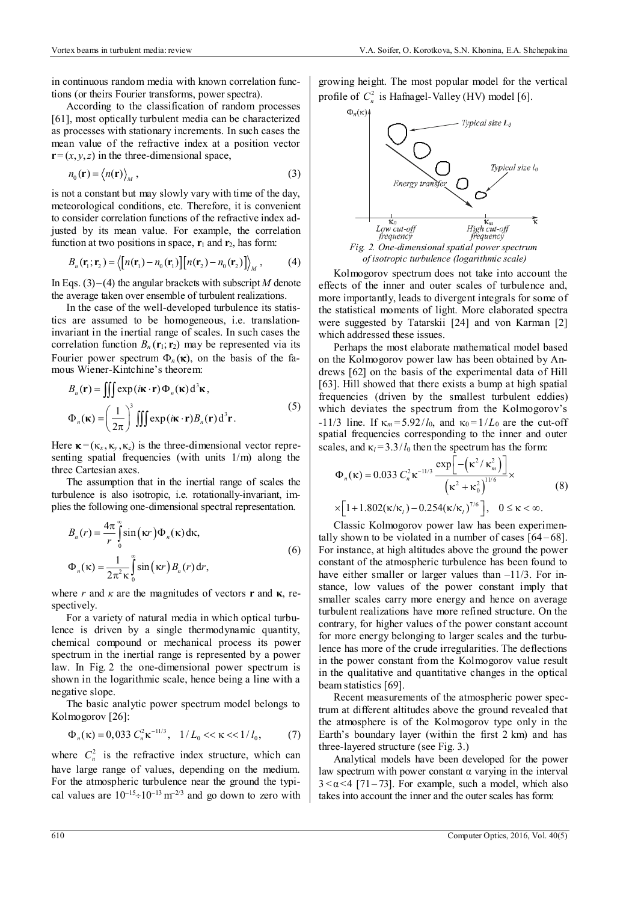in continuous random media with known correlation functions (or theirs Fourier transforms, power spectra).

According to the classification of random processes [61], most optically turbulent media can be characterized as processes with stationary increments. In such cases the mean value of the refractive index at a position vector  $\mathbf{r} = (x, y, z)$  in the three-dimensional space,

$$
n_0(\mathbf{r}) = \langle n(\mathbf{r}) \rangle_M, \tag{3}
$$

is not a constant but may slowly vary with time of the day, meteorological conditions, etc. Therefore, it is convenient to consider correlation functions of the refractive index adjusted by its mean value. For example, the correlation function at two positions in space,  $\mathbf{r}_1$  and  $\mathbf{r}_2$ , has form:

$$
B_n(\mathbf{r}_1; \mathbf{r}_2) = \langle \left[ n(\mathbf{r}_1) - n_0(\mathbf{r}_1) \right] \left[ n(\mathbf{r}_2) - n_0(\mathbf{r}_2) \right] \rangle_M, \tag{4}
$$

In Eqs.  $(3)$ – $(4)$  the angular brackets with subscript *M* denote the average taken over ensemble of turbulent realizations.

In the case of the well-developed turbulence its statistics are assumed to be homogeneous, i.e. translationinvariant in the inertial range of scales. In such cases the correlation function  $B_n(\mathbf{r}_1; \mathbf{r}_2)$  may be represented via its Fourier power spectrum  $\Phi_n(\kappa)$ , on the basis of the famous Wiener-Kintchine's theorem:

$$
B_n(\mathbf{r}) = \iiint \exp(i\mathbf{\kappa} \cdot \mathbf{r}) \Phi_n(\mathbf{\kappa}) d^3 \mathbf{\kappa},
$$
  

$$
\Phi_n(\mathbf{\kappa}) = \left(\frac{1}{2\pi}\right)^3 \iiint \exp(i\mathbf{\kappa} \cdot \mathbf{r}) B_n(\mathbf{r}) d^3 \mathbf{r}.
$$
 (5)

Here  $\kappa = (\kappa_x, \kappa_y, \kappa_z)$  is the three-dimensional vector representing spatial frequencies (with units 1/m) along the three Cartesian axes.

The assumption that in the inertial range of scales the turbulence is also isotropic, i.e. rotationally-invariant, implies the following one-dimensional spectral representation.

$$
B_n(r) = \frac{4\pi}{r} \int_0^\infty \sin(\kappa r) \Phi_n(\kappa) d\kappa,
$$
  

$$
\Phi_n(\kappa) = \frac{1}{2\pi^2 \kappa} \int_0^\infty \sin(\kappa r) B_n(r) dr,
$$
 (6)

where *r* and  $\kappa$  are the magnitudes of vectors **r** and **κ**, respectively.

For a variety of natural media in which optical turbulence is driven by a single thermodynamic quantity, chemical compound or mechanical process its power spectrum in the inertial range is represented by a power law. In Fig. 2 the one-dimensional power spectrum is shown in the logarithmic scale, hence being a line with a negative slope.

The basic analytic power spectrum model belongs to Kolmogorov [26]:

$$
\Phi_n(\kappa) = 0,033 \ C_n^2 \kappa^{-11/3}, \quad 1/L_0 \ll \kappa \ll 1/l_0, \tag{7}
$$

where  $C_n^2$  is the refractive index structure, which can have large range of values, depending on the medium. For the atmospheric turbulence near the ground the typical values are  $10^{-15} \div 10^{-13}$  m<sup>-2/3</sup> and go down to zero with growing height. The most popular model for the vertical profile of  $C_n^2$  is Hafnagel-Valley (HV) model [6].



*Fig. 2. One-dimensional spatial power spectrum of isotropic turbulence (logarithmic scale)*

Kolmogorov spectrum does not take into account the effects of the inner and outer scales of turbulence and, more importantly, leads to divergent integrals for some of the statistical moments of light. More elaborated spectra were suggested by Tatarskii [24] and von Karman [2] which addressed these issues.

Perhaps the most elaborate mathematical model based on the Kolmogorov power law has been obtained by Andrews [62] on the basis of the experimental data of Hill [63]. Hill showed that there exists a bump at high spatial frequencies (driven by the smallest turbulent eddies) which deviates the spectrum from the Kolmogorov's -11/3 line. If  $\kappa_m = 5.92/l_0$ , and  $\kappa_0 = 1/L_0$  are the cut-off spatial frequencies corresponding to the inner and outer scales, and  $\kappa_l = 3.3/l_0$  then the spectrum has the form:

$$
\Phi_n(\kappa) = 0.033 \ C_n^2 \kappa^{-11/3} \frac{\exp\left[-\left(\kappa^2/\kappa_m^2\right)\right]}{\left(\kappa^2 + \kappa_0^2\right)^{11/6}} \times
$$
\n
$$
\times \left[1 + 1.802(\kappa/\kappa_l) - 0.254(\kappa/\kappa_l)^{7/6}\right], \quad 0 \le \kappa < \infty.
$$
\n(8)

Classic Kolmogorov power law has been experimentally shown to be violated in a number of cases  $[64 - 68]$ . For instance, at high altitudes above the ground the power constant of the atmospheric turbulence has been found to have either smaller or larger values than  $-11/3$ . For instance, low values of the power constant imply that smaller scales carry more energy and hence on average turbulent realizations have more refined structure. On the contrary, for higher values of the power constant account for more energy belonging to larger scales and the turbulence has more of the crude irregularities. The deflections in the power constant from the Kolmogorov value result in the qualitative and quantitative changes in the optical beam statistics [69].

Recent measurements of the atmospheric power spectrum at different altitudes above the ground revealed that the atmosphere is of the Kolmogorov type only in the Earth's boundary layer (within the first 2 km) and has three-layered structure (see Fig. 3.)

Analytical models have been developed for the power law spectrum with power constant α varying in the interval  $3 < \alpha < 4$  [71–73]. For example, such a model, which also takes into account the inner and the outer scales has form: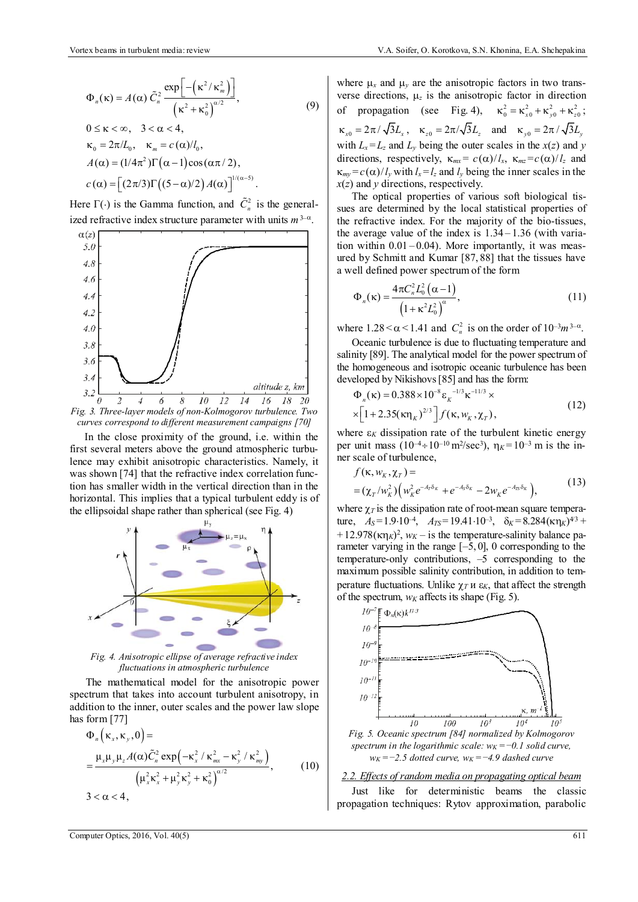$$
\Phi_n(\kappa) = A(\alpha) \tilde{C}_n^2 \frac{\exp\left[-\left(\kappa^2/\kappa_m^2\right)\right]}{\left(\kappa^2 + \kappa_0^2\right)^{\alpha/2}},
$$
\n
$$
0 \le \kappa < \infty, \quad 3 < \alpha < 4,
$$
\n
$$
\kappa_0 = 2\pi/L_0, \quad \kappa_m = c(\alpha)/l_0,
$$
\n
$$
A(\alpha) = (1/4\pi^2) \Gamma(\alpha - 1) \cos(\alpha \pi/2),
$$
\n
$$
c(\alpha) = \left[ (2\pi/3) \Gamma((5-\alpha)/2) A(\alpha) \right]^{1/(\alpha-5)}.
$$
\n(9)

Here  $\Gamma(\cdot)$  is the Gamma function, and  $\tilde{C}_n^2$  is the generalized refractive index structure parameter with units  $m^{3-\alpha}$ .



*curves correspond to different measurement campaigns [70]* 

In the close proximity of the ground, i.e. within the first several meters above the ground atmospheric turbulence may exhibit anisotropic characteristics. Namely, it was shown [74] that the refractive index correlation function has smaller width in the vertical direction than in the horizontal. This implies that a typical turbulent eddy is of the ellipsoidal shape rather than spherical (see Fig. 4)



*Fig. 4. Anisotropic ellipse of average refractive index fluctuations in atmospheric turbulence* 

The mathematical model for the anisotropic power spectrum that takes into account turbulent anisotropy, in addition to the inner, outer scales and the power law slope has form [77]

$$
\Phi_{n}(\kappa_{x}, \kappa_{y}, 0) =
$$
\n
$$
= \frac{\mu_{x}\mu_{y}\mu_{z}A(\alpha)\tilde{C}_{n}^{2} \exp(-\kappa_{x}^{2} / \kappa_{mx}^{2} - \kappa_{y}^{2} / \kappa_{my}^{2})}{(\mu_{x}^{2}\kappa_{x}^{2} + \mu_{y}^{2}\kappa_{y}^{2} + \kappa_{0}^{2})^{\alpha/2}},
$$
\n
$$
3 < \alpha < 4,
$$
\n(10)

where  $\mu_x$  and  $\mu_y$  are the anisotropic factors in two transverse directions,  $\mu_z$  is the anisotropic factor in direction of propagation (see Fig. 4),  $\kappa_0^2 = \kappa_{x0}^2 + \kappa_{y0}^2 + \kappa_{z0}^2$ ;  $\kappa_{x0} = 2\pi / \sqrt{3}L_x$ ,  $\kappa_{z0} = 2\pi / \sqrt{3}L_z$  and  $\kappa_{y0} = 2\pi / \sqrt{3}L_y$ with  $L_x = L_z$  and  $L_y$  being the outer scales in the  $x(z)$  and  $y$ directions, respectively,  $\kappa_{mx} = c(\alpha)/l_x$ ,  $\kappa_{mx} = c(\alpha)/l_z$  and  $\kappa_{mv} = c(\alpha)/l_v$  with  $l_x = l_z$  and  $l_v$  being the inner scales in the *x*(*z*) and *y* directions, respectively.

The optical properties of various soft biological tissues are determined by the local statistical properties of the refractive index. For the majority of the bio-tissues, the average value of the index is  $1.34 - 1.36$  (with variation within  $0.01 - 0.04$ ). More importantly, it was measured by Schmitt and Kumar [87, 88] that the tissues have a well defined power spectrum of the form

$$
\Phi_n(\kappa) = \frac{4\pi C_n^2 L_0^2 (\alpha - 1)}{\left(1 + \kappa^2 L_0^2\right)^{\alpha}},\tag{11}
$$

where  $1.28 < \alpha < 1.41$  and  $C_n^2$  is on the order of  $10^{-3}m^{3-\alpha}$ .

Oceanic turbulence is due to fluctuating temperature and salinity [89]. The analytical model for the power spectrum of the homogeneous and isotropic oceanic turbulence has been developed by Nikishovs [85] and has the form:

$$
\Phi_n(\kappa) = 0.388 \times 10^{-8} \varepsilon_K^{-1/3} \kappa^{-11/3} \times
$$
  
 
$$
\times \left[1 + 2.35(\kappa \eta_K)^{2/3}\right] f(\kappa, w_K, \chi_T), \tag{12}
$$

where  $\epsilon_K$  dissipation rate of the turbulent kinetic energy per unit mass  $(10^{-4} \div 10^{-10} \text{ m}^2/\text{sec}^3)$ ,  $\eta_K = 10^{-3} \text{ m}$  is the inner scale of turbulence,

$$
f(\kappa, w_K, \chi_T) =
$$
  
=  $(\chi_T/w_K^2) \Big( w_K^2 e^{-A_T \delta_K} + e^{-A_S \delta_K} - 2w_K e^{-A_T \delta_K} \Big)$ , (13)

where  $\chi_T$  is the dissipation rate of root-mean square temperature,  $A_S = 1.9 \cdot 10^{-4}$ ,  $A_{TS} = 19.41 \cdot 10^{-3}$ ,  $\delta_K = 8.284 (\kappa \eta_K)^{4/3}$ +  $+12.978(\kappa \eta_K)^2$ ,  $w_K$  – is the temperature-salinity balance parameter varying in the range  $[-5, 0]$ , 0 corresponding to the temperature-only contributions, –5 corresponding to the maximum possible salinity contribution, in addition to temperature fluctuations. Unlike  $\chi_T u \varepsilon_K$ , that affect the strength of the spectrum,  $w_K$  affects its shape (Fig. 5).



*2.2. Effects of random media on propagating optical beam* 

Just like for deterministic beams the classic propagation techniques: Rytov approximation, parabolic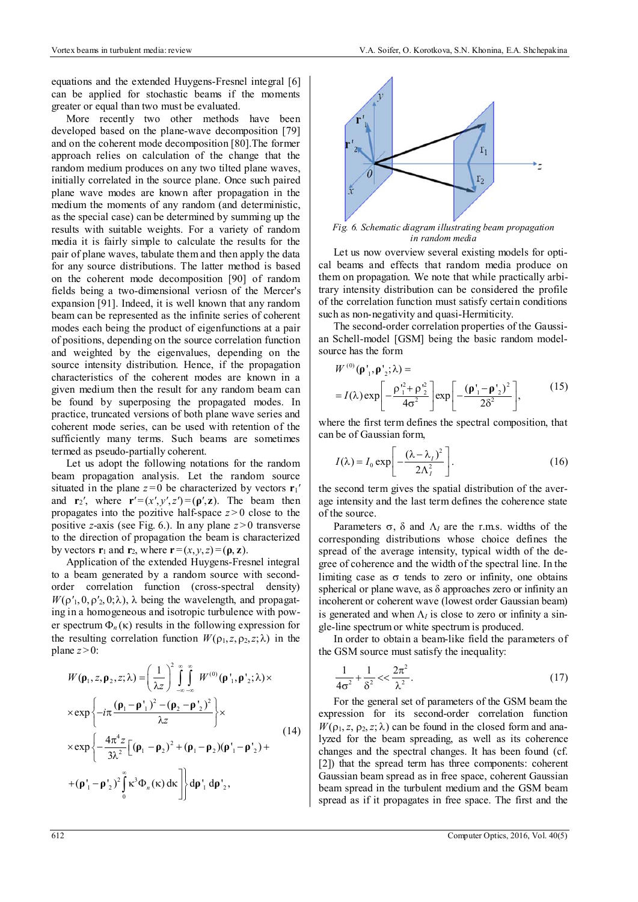equations and the extended Huygens-Fresnel integral [6] can be applied for stochastic beams if the moments greater or equal than two must be evaluated.

More recently two other methods have been developed based on the plane-wave decomposition [79] and on the coherent mode decomposition [80].The former approach relies on calculation of the change that the random medium produces on any two tilted plane waves, initially correlated in the source plane. Once such paired plane wave modes are known after propagation in the medium the moments of any random (and deterministic, as the special case) can be determined by summing up the results with suitable weights. For a variety of random media it is fairly simple to calculate the results for the pair of plane waves, tabulate them and then apply the data for any source distributions. The latter method is based on the coherent mode decomposition [90] of random fields being a two-dimensional veriosn of the Mercer's expansion [91]. Indeed, it is well known that any random beam can be represented as the infinite series of coherent modes each being the product of eigenfunctions at a pair of positions, depending on the source correlation function and weighted by the eigenvalues, depending on the source intensity distribution. Hence, if the propagation characteristics of the coherent modes are known in a given medium then the result for any random beam can be found by superposing the propagated modes. In practice, truncated versions of both plane wave series and coherent mode series, can be used with retention of the sufficiently many terms. Such beams are sometimes termed as pseudo-partially coherent.

Let us adopt the following notations for the random beam propagation analysis. Let the random source situated in the plane  $z=0$  be characterized by vectors  $\mathbf{r}_1'$ and  $\mathbf{r}_2'$ , where  $\mathbf{r}'=(x',y',z')=(\mathbf{p}',\mathbf{z})$ . The beam then propagates into the pozitive half-space  $z > 0$  close to the positive *z*-axis (see Fig. 6.). In any plane  $z > 0$  transverse to the direction of propagation the beam is characterized by vectors  $\mathbf{r}_1$  and  $\mathbf{r}_2$ , where  $\mathbf{r} = (x, y, z) = (\mathbf{p}, \mathbf{z})$ .

Application of the extended Huygens-Fresnel integral to a beam generated by a random source with secondorder correlation function (cross-spectral density)  $W(\rho'_1, 0, \rho'_2, 0; \lambda)$ ,  $\lambda$  being the wavelength, and propagating in a homogeneous and isotropic turbulence with power spectrum  $\Phi_n(\kappa)$  results in the following expression for the resulting correlation function  $W(\rho_1, z, \rho_2, z; \lambda)$  in the plane  $z > 0$ :

$$
W(\mathbf{p}_1, z, \mathbf{p}_2, z; \lambda) = \left(\frac{1}{\lambda z}\right)^2 \int_{-\infty}^{\infty} \int_{-\infty}^{\infty} W^{(0)}(\mathbf{p}_1, \mathbf{p}_2; \lambda) \times
$$
  
\n
$$
\times \exp\left\{-i\pi \frac{(\mathbf{p}_1 - \mathbf{p}_1')^2 - (\mathbf{p}_2 - \mathbf{p}_2')^2}{\lambda z}\right\} \times
$$
  
\n
$$
\times \exp\left\{-\frac{4\pi^4 z}{3\lambda^2} \left[(\mathbf{p}_1 - \mathbf{p}_2)^2 + (\mathbf{p}_1 - \mathbf{p}_2)(\mathbf{p}_1' - \mathbf{p}_2') + \right. \\
$$
  
\n
$$
+(\mathbf{p}_1' - \mathbf{p}_2')^2 \int_{0}^{\infty} \kappa^3 \Phi_n(\kappa) d\kappa \right] \, d\mathbf{p}_1' d\mathbf{p}_2',
$$
\n(14)



*Fig. 6. Schematic diagram illustrating beam propagation in random media*

Let us now overview several existing models for optical beams and effects that random media produce on them on propagation. We note that while practically arbitrary intensity distribution can be considered the profile of the correlation function must satisfy certain conditions such as non-negativity and quasi-Hermiticity.

The second-order correlation properties of the Gaussian Schell-model [GSM] being the basic random modelsource has the form

 $\alpha$ 

$$
W^{(0)}(\mathbf{p'}_1, \mathbf{p'}_2; \lambda) =
$$
  
=  $I(\lambda) \exp\left[-\frac{\rho_1'^2 + \rho_2'^2}{4\sigma^2}\right] \exp\left[-\frac{(\mathbf{p'}_1 - \mathbf{p'}_2)^2}{2\delta^2}\right],$  (15)

where the first term defines the spectral composition, that can be of Gaussian form,

$$
I(\lambda) = I_0 \exp\left[-\frac{(\lambda - \lambda_1)^2}{2\Lambda_1^2}\right].
$$
 (16)

the second term gives the spatial distribution of the average intensity and the last term defines the coherence state of the source.

Parameters  $\sigma$ ,  $\delta$  and  $\Lambda$  are the r.m.s. widths of the corresponding distributions whose choice defines the spread of the average intensity, typical width of the degree of coherence and the width of the spectral line. In the limiting case as  $\sigma$  tends to zero or infinity, one obtains spherical or plane wave, as  $\delta$  approaches zero or infinity an incoherent or coherent wave (lowest order Gaussian beam) is generated and when  $\Lambda$ <sup>*I*</sup> is close to zero or infinity a single-line spectrum or white spectrum is produced.

In order to obtain a beam-like field the parameters of the GSM source must satisfy the inequality:

$$
\frac{1}{4\sigma^2} + \frac{1}{\delta^2} < < \frac{2\pi^2}{\lambda^2}.\tag{17}
$$

For the general set of parameters of the GSM beam the expression for its second-order correlation function  $W(\rho_1, z, \rho_2, z; \lambda)$  can be found in the closed form and analyzed for the beam spreading, as well as its coherence changes and the spectral changes. It has been found (cf. [2]) that the spread term has three components: coherent Gaussian beam spread as in free space, coherent Gaussian beam spread in the turbulent medium and the GSM beam spread as if it propagates in free space. The first and the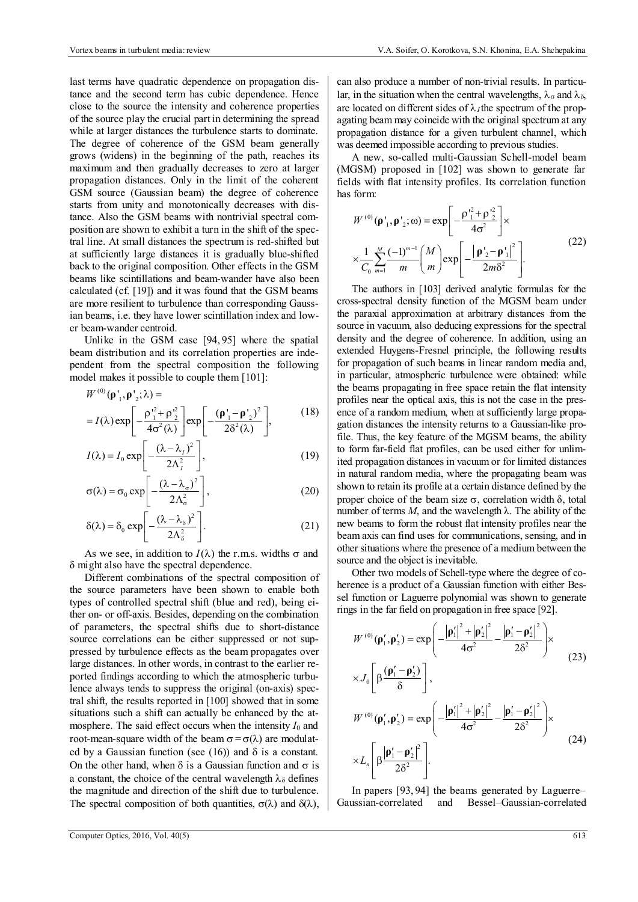last terms have quadratic dependence on propagation distance and the second term has cubic dependence. Hence close to the source the intensity and coherence properties of the source play the crucial part in determining the spread while at larger distances the turbulence starts to dominate. The degree of coherence of the GSM beam generally grows (widens) in the beginning of the path, reaches its maximum and then gradually decreases to zero at larger propagation distances. Only in the limit of the coherent GSM source (Gaussian beam) the degree of coherence starts from unity and monotonically decreases with distance. Also the GSM beams with nontrivial spectral composition are shown to exhibit a turn in the shift of the spectral line. At small distances the spectrum is red-shifted but at sufficiently large distances it is gradually blue-shifted back to the original composition. Other effects in the GSM beams like scintillations and beam-wander have also been calculated (cf. [19]) and it was found that the GSM beams are more resilient to turbulence than corresponding Gaussian beams, i.e. they have lower scintillation index and lower beam-wander centroid.

Unlike in the GSM case [94, 95] where the spatial beam distribution and its correlation properties are independent from the spectral composition the following model makes it possible to couple them [101]:

$$
W^{(0)}(\mathbf{p'}_1, \mathbf{p'}_2; \lambda) =
$$
  
=  $I(\lambda) \exp \left[ -\frac{\rho_1^2 + \rho_2^2}{4\sigma^2(\lambda)} \right] \exp \left[ -\frac{(\mathbf{p'}_1 - \mathbf{p'}_2)^2}{2\delta^2(\lambda)} \right],$  (18)

$$
I(\lambda) = I_0 \exp\left[-\frac{(\lambda - \lambda_I)^2}{2\Lambda_I^2}\right],
$$
 (19)

$$
\sigma(\lambda) = \sigma_0 \exp\left[-\frac{(\lambda - \lambda_\sigma)^2}{2\Lambda_\sigma^2}\right],\tag{20}
$$

$$
\delta(\lambda) = \delta_0 \exp\left[-\frac{(\lambda - \lambda_\delta)^2}{2\Lambda_\delta^2}\right].
$$
 (21)

As we see, in addition to  $I(\lambda)$  the r.m.s. widths  $\sigma$  and δ might also have the spectral dependence.

Different combinations of the spectral composition of the source parameters have been shown to enable both types of controlled spectral shift (blue and red), being either on- or off-axis. Besides, depending on the combination of parameters, the spectral shifts due to short-distance source correlations can be either suppressed or not suppressed by turbulence effects as the beam propagates over large distances. In other words, in contrast to the earlier reported findings according to which the atmospheric turbulence always tends to suppress the original (on-axis) spectral shift, the results reported in [100] showed that in some situations such a shift can actually be enhanced by the atmosphere. The said effect occurs when the intensity  $I_0$  and root-mean-square width of the beam  $\sigma = \sigma(\lambda)$  are modulated by a Gaussian function (see (16)) and  $\delta$  is a constant. On the other hand, when  $\delta$  is a Gaussian function and  $\sigma$  is a constant, the choice of the central wavelength  $\lambda_{\delta}$  defines the magnitude and direction of the shift due to turbulence. The spectral composition of both quantities,  $\sigma(\lambda)$  and  $\delta(\lambda)$ , can also produce a number of non-trivial results. In particular, in the situation when the central wavelengths,  $\lambda_{\sigma}$  and  $\lambda_{\delta}$ , are located on different sides of  $\lambda_I$  the spectrum of the propagating beam may coincide with the original spectrum at any propagation distance for a given turbulent channel, which was deemed impossible according to previous studies.

A new, so-called multi-Gaussian Schell-model beam (MGSM) proposed in [102] was shown to generate far fields with flat intensity profiles. Its correlation function has form:

$$
W^{(0)}(\mathbf{p'}_1, \mathbf{p'}_2; \omega) = \exp\left[-\frac{\rho'^2_1 + \rho'^2_2}{4\sigma^2}\right] \times \times \frac{1}{C_0} \sum_{m=1}^M \frac{(-1)^{m-1}}{m} {M \choose m} \exp\left[-\frac{|\mathbf{p'}_2 - \mathbf{p'}_1|^2}{2m\delta^2}\right].
$$
 (22)

The authors in [103] derived analytic formulas for the cross-spectral density function of the MGSM beam under the paraxial approximation at arbitrary distances from the source in vacuum, also deducing expressions for the spectral density and the degree of coherence. In addition, using an extended Huygens-Fresnel principle, the following results for propagation of such beams in linear random media and, in particular, atmospheric turbulence were obtained: while the beams propagating in free space retain the flat intensity profiles near the optical axis, this is not the case in the presence of a random medium, when at sufficiently large propagation distances the intensity returns to a Gaussian-like profile. Thus, the key feature of the MGSM beams, the ability to form far-field flat profiles, can be used either for unlimited propagation distances in vacuum or for limited distances in natural random media, where the propagating beam was shown to retain its profile at a certain distance defined by the proper choice of the beam size  $\sigma$ , correlation width δ, total number of terms *M*, and the wavelength  $\lambda$ . The ability of the new beams to form the robust flat intensity profiles near the beam axis can find uses for communications, sensing, and in other situations where the presence of a medium between the source and the object is inevitable.

Other two models of Schell-type where the degree of coherence is a product of a Gaussian function with either Bessel function or Laguerre polynomial was shown to generate rings in the far field on propagation in free space [92].

$$
W^{(0)}(\mathbf{p}'_1, \mathbf{p}'_2) = \exp\left(-\frac{|\mathbf{p}'_1|^2 + |\mathbf{p}'_2|^2}{4\sigma^2} - \frac{|\mathbf{p}'_1 - \mathbf{p}'_2|^2}{2\delta^2}\right) \times \times J_0\left[\beta \frac{(\mathbf{p}'_1 - \mathbf{p}'_2)}{\delta}\right],
$$
\n
$$
W^{(0)}(\mathbf{p}'_1, \mathbf{p}'_2) = \exp\left(-\frac{|\mathbf{p}'_1|^2 + |\mathbf{p}'_2|^2}{4\sigma^2} - \frac{|\mathbf{p}'_1 - \mathbf{p}'_2|^2}{2\delta^2}\right) \times \times L_n\left[\beta \frac{|\mathbf{p}'_1 - \mathbf{p}'_2|^2}{2\delta^2}\right].
$$
\n(24)

In papers [93, 94] the beams generated by Laguerre– Gaussian-correlated and Bessel–Gaussian-correlated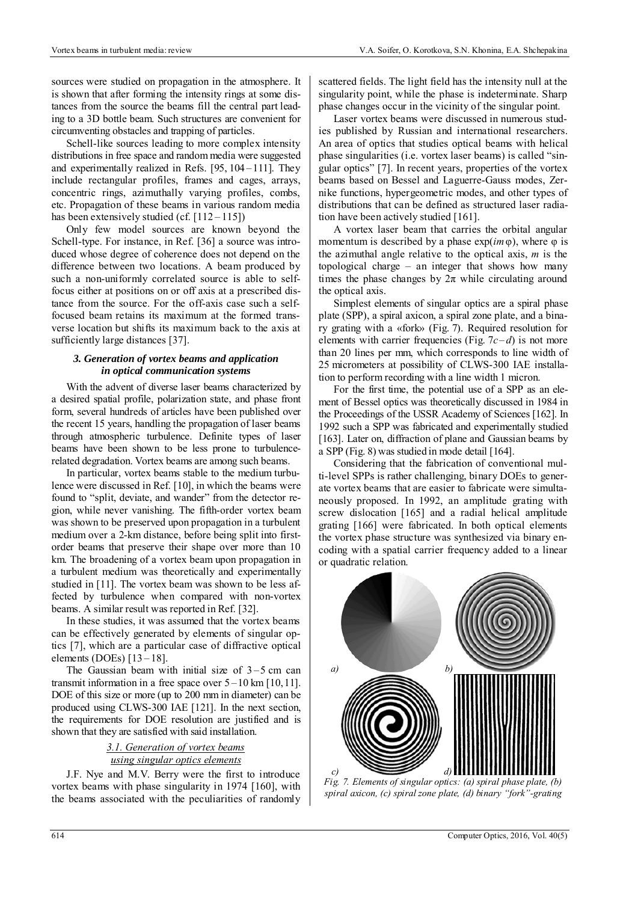sources were studied on propagation in the atmosphere. It is shown that after forming the intensity rings at some distances from the source the beams fill the central part leading to a 3D bottle beam. Such structures are convenient for circumventing obstacles and trapping of particles.

Schell-like sources leading to more complex intensity distributions in free space and random media were suggested and experimentally realized in Refs. [95, 104 –111]. They include rectangular profiles, frames and cages, arrays, concentric rings, azimuthally varying profiles, combs, etc. Propagation of these beams in various random media has been extensively studied (cf.  $[112 - 115]$ )

Only few model sources are known beyond the Schell-type. For instance, in Ref. [36] a source was introduced whose degree of coherence does not depend on the difference between two locations. A beam produced by such a non-uniformly correlated source is able to selffocus either at positions on or off axis at a prescribed distance from the source. For the off-axis case such a selffocused beam retains its maximum at the formed transverse location but shifts its maximum back to the axis at sufficiently large distances [37].

## *3. Generation of vortex beams and application in optical communication systems*

With the advent of diverse laser beams characterized by a desired spatial profile, polarization state, and phase front form, several hundreds of articles have been published over the recent 15 years, handling the propagation of laser beams through atmospheric turbulence. Definite types of laser beams have been shown to be less prone to turbulencerelated degradation. Vortex beams are among such beams.

In particular, vortex beams stable to the medium turbulence were discussed in Ref. [10], in which the beams were found to "split, deviate, and wander" from the detector region, while never vanishing. The fifth-order vortex beam was shown to be preserved upon propagation in a turbulent medium over a 2-km distance, before being split into firstorder beams that preserve their shape over more than 10 km. The broadening of a vortex beam upon propagation in a turbulent medium was theoretically and experimentally studied in [11]. The vortex beam was shown to be less affected by turbulence when compared with non-vortex beams. A similar result was reported in Ref. [32].

In these studies, it was assumed that the vortex beams can be effectively generated by elements of singular optics [7], which are a particular case of diffractive optical elements (DOEs)  $[13-18]$ .

The Gaussian beam with initial size of  $3-5$  cm can transmit information in a free space over  $5 - 10$  km  $[10, 11]$ . DOE of this size or more (up to 200 mm in diameter) can be produced using CLWS-300 IAE [121]. In the next section, the requirements for DOE resolution are justified and is shown that they are satisfied with said installation.

> *3.1. Generation of vortex beams using singular optics elements*

J.F. Nye and M.V. Berry were the first to introduce vortex beams with phase singularity in 1974 [160], with the beams associated with the peculiarities of randomly

scattered fields. The light field has the intensity null at the singularity point, while the phase is indeterminate. Sharp phase changes occur in the vicinity of the singular point.

Laser vortex beams were discussed in numerous studies published by Russian and international researchers. An area of optics that studies optical beams with helical phase singularities (i.e. vortex laser beams) is called "singular optics" [7]. In recent years, properties of the vortex beams based on Bessel and Laguerre-Gauss modes, Zernike functions, hypergeometric modes, and other types of distributions that can be defined as structured laser radiation have been actively studied [161].

A vortex laser beam that carries the orbital angular momentum is described by a phase  $exp(im\varphi)$ , where  $\varphi$  is the azimuthal angle relative to the optical axis, *m* is the topological charge – an integer that shows how many times the phase changes by  $2\pi$  while circulating around the optical axis.

Simplest elements of singular optics are a spiral phase plate (SPP), a spiral axicon, a spiral zone plate, and a binary grating with a «fork» (Fig. 7). Required resolution for elements with carrier frequencies (Fig.  $7c-d$ ) is not more than 20 lines per mm, which corresponds to line width of 25 micrometers at possibility of CLWS-300 IAE installation to perform recording with a line width 1 micron.

For the first time, the potential use of a SPP as an element of Bessel optics was theoretically discussed in 1984 in the Proceedings of the USSR Academy of Sciences [162]. In 1992 such a SPP was fabricated and experimentally studied [163]. Later on, diffraction of plane and Gaussian beams by a SPP (Fig. 8) was studied in mode detail [164].

Considering that the fabrication of conventional multi-level SPPs is rather challenging, binary DOEs to generate vortex beams that are easier to fabricate were simultaneously proposed. In 1992, an amplitude grating with screw dislocation [165] and a radial helical amplitude grating [166] were fabricated. In both optical elements the vortex phase structure was synthesized via binary encoding with a spatial carrier frequency added to a linear or quadratic relation.



*Fig. 7. Elements of singular optics: (a) spiral phase plate, (b) spiral axicon, (c) spiral zone plate, (d) binary "fork"-grating*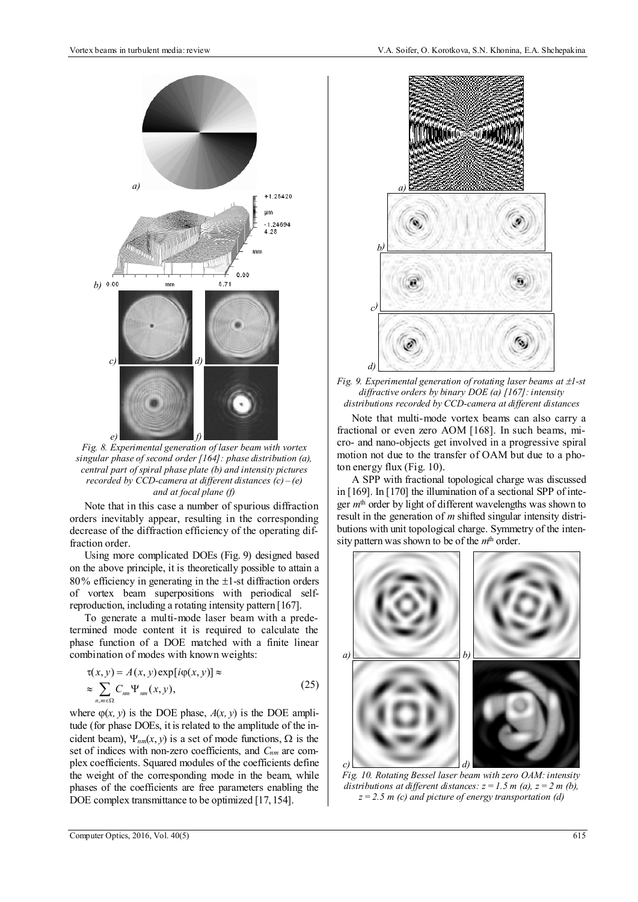

*Fig. 8. Experimental generation of laser beam with vortex singular phase of second order [164]: phase distribution (a), central part of spiral phase plate (b) and intensity pictures recorded by CCD-camera at different distances (c) – (e) and at focal plane (f)* 

Note that in this case a number of spurious diffraction orders inevitably appear, resulting in the corresponding decrease of the diffraction efficiency of the operating diffraction order.

Using more complicated DOEs (Fig. 9) designed based on the above principle, it is theoretically possible to attain a 80% efficiency in generating in the  $\pm$ 1-st diffraction orders of vortex beam superpositions with periodical selfreproduction, including a rotating intensity pattern [167].

To generate a multi-mode laser beam with a predetermined mode content it is required to calculate the phase function of a DOE matched with a finite linear combination of modes with known weights:

$$
\tau(x, y) = A(x, y) \exp[i\varphi(x, y)] \approx
$$
  

$$
\approx \sum_{n, m \in \Omega} C_{nm} \Psi_{nm}(x, y),
$$
 (25)

where  $\varphi(x, y)$  is the DOE phase,  $A(x, y)$  is the DOE amplitude (for phase DOEs, it is related to the amplitude of the incident beam),  $\Psi_{nm}(x, y)$  is a set of mode functions,  $\Omega$  is the set of indices with non-zero coefficients, and *Cnm* are complex coefficients. Squared modules of the coefficients define the weight of the corresponding mode in the beam, while phases of the coefficients are free parameters enabling the DOE complex transmittance to be optimized [17, 154].



*Fig. 9. Experimental generation of rotating laser beams at*  $\pm 1$ *-st diffractive orders by binary DOE (а) [167]: intensity distributions recorded by CCD-camera at different distances* 

Note that multi-mode vortex beams can also carry a fractional or even zero AOM [168]. In such beams, micro- and nano-objects get involved in a progressive spiral motion not due to the transfer of OAM but due to a photon energy flux (Fig. 10).

A SPP with fractional topological charge was discussed in [169]. In [170] the illumination of a sectional SPP of integer *m*th order by light of different wavelengths was shown to result in the generation of *m* shifted singular intensity distributions with unit topological charge. Symmetry of the intensity pattern was shown to be of the *m*th order.



*Fig. 10. Rotating Bessel laser beam with zero OAM: intensity distributions at different distances:*  $z = 1.5$  *m (a),*  $z = 2$  *m (b), z=2.5 m (c) and picture of energy transportation (d)*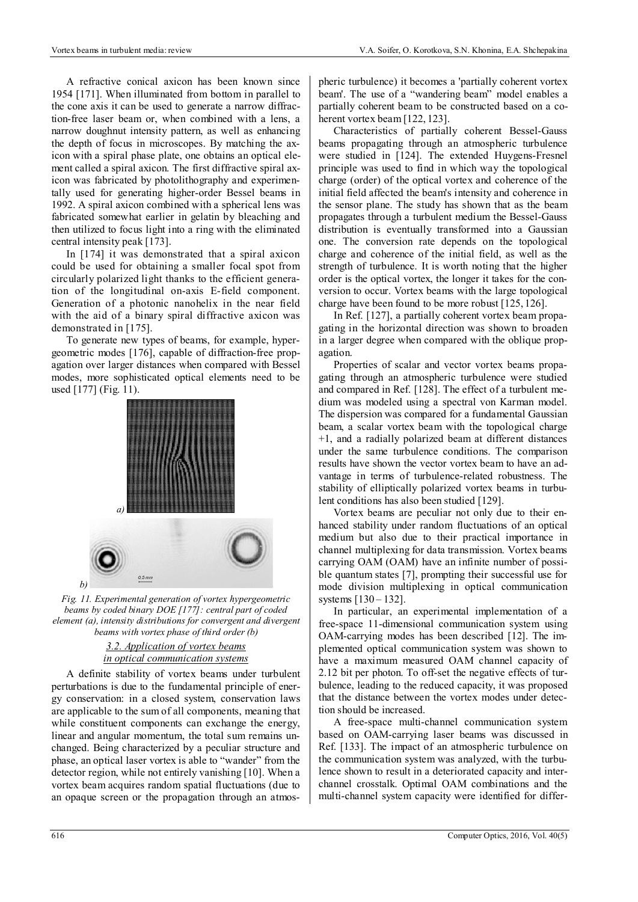A refractive conical axicon has been known since 1954 [171]. When illuminated from bottom in parallel to the cone axis it can be used to generate a narrow diffraction-free laser beam or, when combined with a lens, a narrow doughnut intensity pattern, as well as enhancing the depth of focus in microscopes. By matching the axicon with a spiral phase plate, one obtains an optical element called a spiral axicon. The first diffractive spiral axicon was fabricated by photolithography and experimentally used for generating higher-order Bessel beams in 1992. A spiral axicon combined with a spherical lens was fabricated somewhat earlier in gelatin by bleaching and then utilized to focus light into a ring with the eliminated central intensity peak [173].

In [174] it was demonstrated that a spiral axicon could be used for obtaining a smaller focal spot from circularly polarized light thanks to the efficient generation of the longitudinal on-axis E-field component. Generation of a photonic nanohelix in the near field with the aid of a binary spiral diffractive axicon was demonstrated in [175].

To generate new types of beams, for example, hypergeometric modes [176], capable of diffraction-free propagation over larger distances when compared with Bessel modes, more sophisticated optical elements need to be used [177] (Fig. 11).



*Fig. 11. Experimental generation of vortex hypergeometric beams by coded binary DOE [177]: central part of coded element (a), intensity distributions for convergent and divergent beams with vortex phase of third order (b)* 

*3.2. Application of vortex beams in optical communication systems*

A definite stability of vortex beams under turbulent perturbations is due to the fundamental principle of energy conservation: in a closed system, conservation laws are applicable to the sum of all components, meaning that while constituent components can exchange the energy, linear and angular momentum, the total sum remains unchanged. Being characterized by a peculiar structure and phase, an optical laser vortex is able to "wander" from the detector region, while not entirely vanishing [10]. When a vortex beam acquires random spatial fluctuations (due to an opaque screen or the propagation through an atmospheric turbulence) it becomes a 'partially coherent vortex beam'. The use of a "wandering beam" model enables a partially coherent beam to be constructed based on a coherent vortex beam [122, 123].

Characteristics of partially coherent Bessel-Gauss beams propagating through an atmospheric turbulence were studied in [124]. The extended Huygens-Fresnel principle was used to find in which way the topological charge (order) of the optical vortex and coherence of the initial field affected the beam's intensity and coherence in the sensor plane. The study has shown that as the beam propagates through a turbulent medium the Bessel-Gauss distribution is eventually transformed into a Gaussian one. The conversion rate depends on the topological charge and coherence of the initial field, as well as the strength of turbulence. It is worth noting that the higher order is the optical vortex, the longer it takes for the conversion to occur. Vortex beams with the large topological charge have been found to be more robust [125, 126].

In Ref. [127], a partially coherent vortex beam propagating in the horizontal direction was shown to broaden in a larger degree when compared with the oblique propagation.

Properties of scalar and vector vortex beams propagating through an atmospheric turbulence were studied and compared in Ref. [128]. The effect of a turbulent medium was modeled using a spectral von Karman model. The dispersion was compared for a fundamental Gaussian beam, a scalar vortex beam with the topological charge +1, and a radially polarized beam at different distances under the same turbulence conditions. The comparison results have shown the vector vortex beam to have an advantage in terms of turbulence-related robustness. The stability of elliptically polarized vortex beams in turbulent conditions has also been studied [129].

Vortex beams are peculiar not only due to their enhanced stability under random fluctuations of an optical medium but also due to their practical importance in channel multiplexing for data transmission. Vortex beams carrying OAM (OAM) have an infinite number of possible quantum states [7], prompting their successful use for mode division multiplexing in optical communication systems [130 – 132].

In particular, an experimental implementation of a free-space 11-dimensional communication system using OAM-carrying modes has been described [12]. The implemented optical communication system was shown to have a maximum measured OAM channel capacity of 2.12 bit per photon. To off-set the negative effects of turbulence, leading to the reduced capacity, it was proposed that the distance between the vortex modes under detection should be increased.

A free-space multi-channel communication system based on OAM-carrying laser beams was discussed in Ref. [133]. The impact of an atmospheric turbulence on the communication system was analyzed, with the turbulence shown to result in a deteriorated capacity and interchannel crosstalk. Optimal OAM combinations and the multi-channel system capacity were identified for differ-

*b)*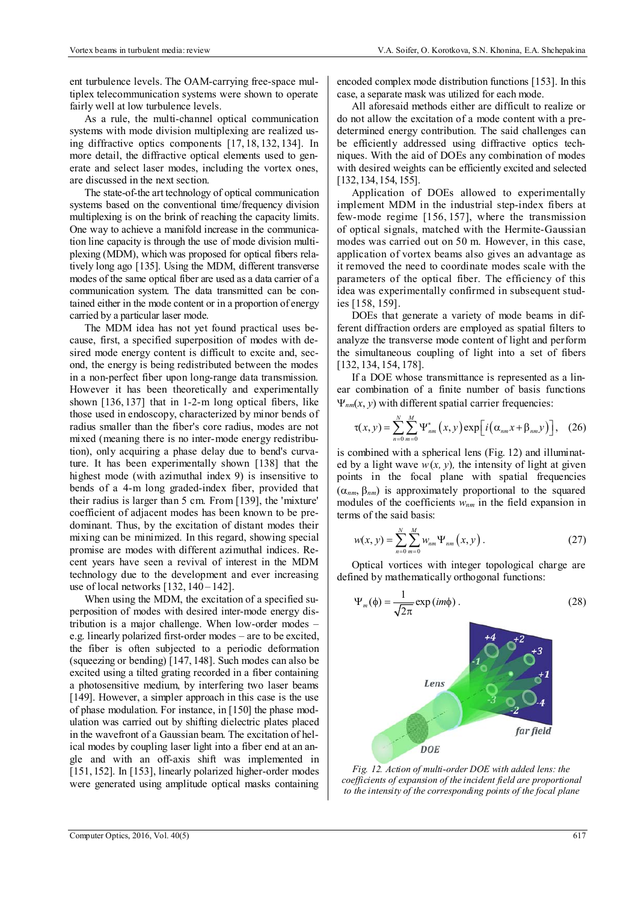ent turbulence levels. The OAM-carrying free-space multiplex telecommunication systems were shown to operate fairly well at low turbulence levels.

As a rule, the multi-channel optical communication systems with mode division multiplexing are realized using diffractive optics components [17, 18, 132, 134]. In more detail, the diffractive optical elements used to generate and select laser modes, including the vortex ones, are discussed in the next section.

The state-of-the art technology of optical communication systems based on the conventional time/frequency division multiplexing is on the brink of reaching the capacity limits. One way to achieve a manifold increase in the communication line capacity is through the use of mode division multiplexing (MDM), which was proposed for optical fibers relatively long ago [135]. Using the MDM, different transverse modes of the same optical fiber are used as a data carrier of a communication system. The data transmitted can be contained either in the mode content or in a proportion of energy carried by a particular laser mode.

The MDM idea has not yet found practical uses because, first, a specified superposition of modes with desired mode energy content is difficult to excite and, second, the energy is being redistributed between the modes in a non-perfect fiber upon long-range data transmission. However it has been theoretically and experimentally shown [136, 137] that in 1-2-m long optical fibers, like those used in endoscopy, characterized by minor bends of radius smaller than the fiber's core radius, modes are not mixed (meaning there is no inter-mode energy redistribution), only acquiring a phase delay due to bend's curvature. It has been experimentally shown [138] that the highest mode (with azimuthal index 9) is insensitive to bends of a 4-m long graded-index fiber, provided that their radius is larger than 5 cm. From [139], the 'mixture' coefficient of adjacent modes has been known to be predominant. Thus, by the excitation of distant modes their mixing can be minimized. In this regard, showing special promise are modes with different azimuthal indices. Recent years have seen a revival of interest in the MDM technology due to the development and ever increasing use of local networks [132, 140 – 142].

When using the MDM, the excitation of a specified superposition of modes with desired inter-mode energy distribution is a major challenge. When low-order modes – e.g. linearly polarized first-order modes – are to be excited, the fiber is often subjected to a periodic deformation (squeezing or bending) [147, 148]. Such modes can also be excited using a tilted grating recorded in a fiber containing a photosensitive medium, by interfering two laser beams [149]. However, a simpler approach in this case is the use of phase modulation. For instance, in [150] the phase modulation was carried out by shifting dielectric plates placed in the wavefront of a Gaussian beam. The excitation of helical modes by coupling laser light into a fiber end at an angle and with an off-axis shift was implemented in [151, 152]. In [153], linearly polarized higher-order modes were generated using amplitude optical masks containing

encoded complex mode distribution functions [153]. In this case, a separate mask was utilized for each mode.

All aforesaid methods either are difficult to realize or do not allow the excitation of a mode content with a predetermined energy contribution. The said challenges can be efficiently addressed using diffractive optics techniques. With the aid of DOEs any combination of modes with desired weights can be efficiently excited and selected [132,134,154, 155].

Application of DOEs allowed to experimentally implement MDM in the industrial step-index fibers at few-mode regime [156, 157], where the transmission of optical signals, matched with the Hermite-Gaussian modes was carried out on 50 m. However, in this case, application of vortex beams also gives an advantage as it removed the need to coordinate modes scale with the parameters of the optical fiber. The efficiency of this idea was experimentally confirmed in subsequent studies [158, 159].

DOEs that generate a variety of mode beams in different diffraction orders are employed as spatial filters to analyze the transverse mode content of light and perform the simultaneous coupling of light into a set of fibers [132, 134, 154, 178].

If a DOE whose transmittance is represented as a linear combination of a finite number of basis functions  $\Psi_{nm}(x, y)$  with different spatial carrier frequencies:

$$
\tau(x,y) = \sum_{n=0}^{N} \sum_{m=0}^{M} \Psi_{nm}^{*}(x,y) \exp\left[i\left(\alpha_{nm}x + \beta_{nm}y\right)\right], \quad (26)
$$

is combined with a spherical lens (Fig. 12) and illuminated by a light wave  $w(x, y)$ , the intensity of light at given points in the focal plane with spatial frequencies  $(\alpha_{nm}, \beta_{nm})$  is approximately proportional to the squared modules of the coefficients  $w_{nm}$  in the field expansion in terms of the said basis:

$$
w(x, y) = \sum_{n=0}^{N} \sum_{m=0}^{M} w_{nm} \Psi_{nm}(x, y)
$$
 (27)

Optical vortices with integer topological charge are defined by mathematically orthogonal functions:

$$
\Psi_m(\phi) = \frac{1}{\sqrt{2\pi}} \exp(im\phi).
$$
 (28)



*Fig. 12. Action of multi-order DOE with added lens: the coefficients of expansion of the incident field are proportional to the intensity of the corresponding points of the focal plane*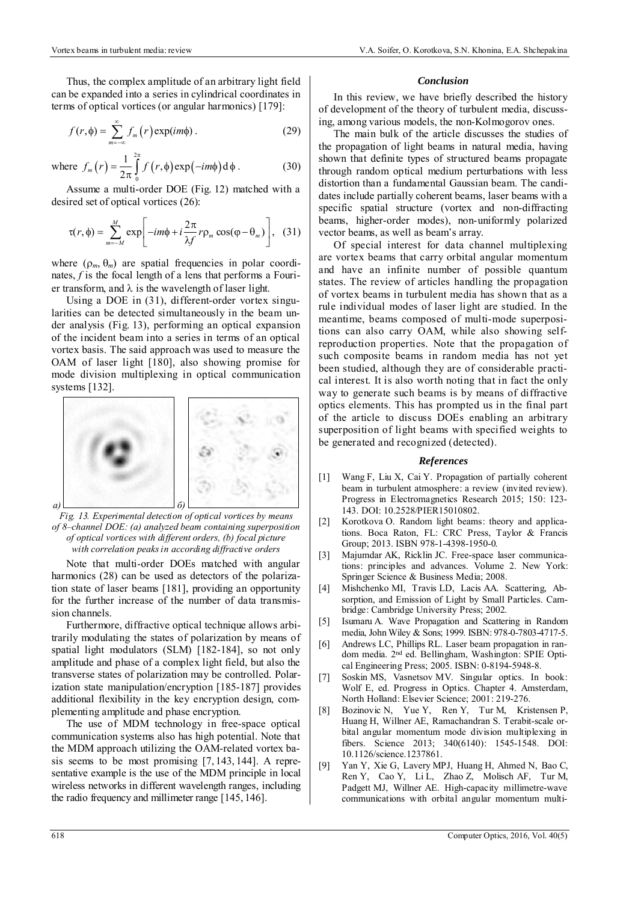Thus, the complex amplitude of an arbitrary light field can be expanded into a series in cylindrical coordinates in terms of optical vortices (or angular harmonics) [179]:

$$
f(r,\phi) = \sum_{m=-\infty}^{\infty} f_m(r) \exp(im\phi).
$$
 (29)

where 
$$
f_m(r) = \frac{1}{2\pi} \int_0^{2\pi} f(r,\phi) \exp(-im\phi) d\phi
$$
. (30)

Assume a multi-order DOE (Fig. 12) matched with a desired set of optical vortices (26):

$$
\tau(r,\phi) = \sum_{m=-M}^{M} \exp\left[-im\phi + i\frac{2\pi}{\lambda f}r\rho_m\cos(\phi-\theta_m)\right], \quad (31)
$$

where  $(\rho_m, \theta_m)$  are spatial frequencies in polar coordinates, *f* is the focal length of a lens that performs a Fourier transform, and  $\lambda$  is the wavelength of laser light.

Using a DOE in (31), different-order vortex singularities can be detected simultaneously in the beam under analysis (Fig. 13), performing an optical expansion of the incident beam into a series in terms of an optical vortex basis. The said approach was used to measure the OAM of laser light [180], also showing promise for mode division multiplexing in optical communication systems [132].



*Fig. 13. Experimental detection of optical vortices by means of 8–channel DOE: (a) analyzed beam containing superposition of optical vortices with different orders, (b) focal picture with correlation peaks in according diffractive orders* 

Note that multi-order DOEs matched with angular harmonics (28) can be used as detectors of the polarization state of laser beams [181], providing an opportunity for the further increase of the number of data transmission channels.

Furthermore, diffractive optical technique allows arbitrarily modulating the states of polarization by means of spatial light modulators (SLM) [182-184], so not only amplitude and phase of a complex light field, but also the transverse states of polarization may be controlled. Polarization state manipulation/encryption [185-187] provides additional flexibility in the key encryption design, complementing amplitude and phase encryption.

The use of MDM technology in free-space optical communication systems also has high potential. Note that the MDM approach utilizing the OAM-related vortex basis seems to be most promising [7, 143, 144]. A representative example is the use of the MDM principle in local wireless networks in different wavelength ranges, including the radio frequency and millimeter range [145, 146].

#### *Conclusion*

In this review, we have briefly described the history of development of the theory of turbulent media, discussing, among various models, the non-Kolmogorov ones.

The main bulk of the article discusses the studies of the propagation of light beams in natural media, having shown that definite types of structured beams propagate through random optical medium perturbations with less distortion than a fundamental Gaussian beam. The candidates include partially coherent beams, laser beams with a specific spatial structure (vortex and non-diffracting beams, higher-order modes), non-uniformly polarized vector beams, as well as beam's array.

Of special interest for data channel multiplexing are vortex beams that carry orbital angular momentum and have an infinite number of possible quantum states. The review of articles handling the propagation of vortex beams in turbulent media has shown that as a rule individual modes of laser light are studied. In the meantime, beams composed of multi-mode superpositions can also carry OAM, while also showing selfreproduction properties. Note that the propagation of such composite beams in random media has not yet been studied, although they are of considerable practical interest. It is also worth noting that in fact the only way to generate such beams is by means of diffractive optics elements. This has prompted us in the final part of the article to discuss DOEs enabling an arbitrary superposition of light beams with specified weights to be generated and recognized (detected).

#### *References*

- [1] Wang F, Liu X, Cai Y. Propagation of partially coherent beam in turbulent atmosphere: a review (invited review). Progress in Electromagnetics Research 2015; 150: 123- 143. DOI: 10.2528/PIER15010802.
- [2] Korotkova O. Random light beams: theory and applications. Boca Raton, FL: CRC Press, Taylor & Francis Group; 2013. ISBN 978-1-4398-1950-0.
- [3] Majumdar AK, Ricklin JC. Free-space laser communications: principles and advances. Volume 2. New York: Springer Science & Business Media; 2008.
- [4] Mishchenko MI, Travis LD, Lacis AA. Scattering, Absorption, and Emission of Light by Small Particles. Cambridge: Cambridge University Press; 2002.
- [5] Isumaru A. Wave Propagation and Scattering in Random media, John Wiley & Sons; 1999. ISBN: 978-0-7803-4717-5.
- [6] Andrews LC, Phillips RL. Laser beam propagation in random media. 2nd ed. Bellingham, Washington: SPIE Optical Engineering Press; 2005. ISBN: 0-8194-5948-8.
- [7] Soskin MS, Vasnetsov MV. Singular optics. In book: Wolf E, ed. Progress in Optics. Chapter 4. Amsterdam, North Holland: Elsevier Science; 2001: 219-276.
- [8] Bozinovic N, Yue Y, Ren Y, Tur M, Kristensen P, Huang H, Willner AE, Ramachandran S. Terabit-scale orbital angular momentum mode division multiplexing in fibers. Science 2013; 340(6140): 1545-1548. DOI: 10.1126/science.1237861.
- [9] Yan Y, Xie G, Lavery MPJ, Huang H, Ahmed N, Bao C, Ren Y, Cao Y, Li L, Zhao Z, Molisch AF, Tur M, Padgett MJ, Willner AE. High-capacity millimetre-wave communications with orbital angular momentum multi-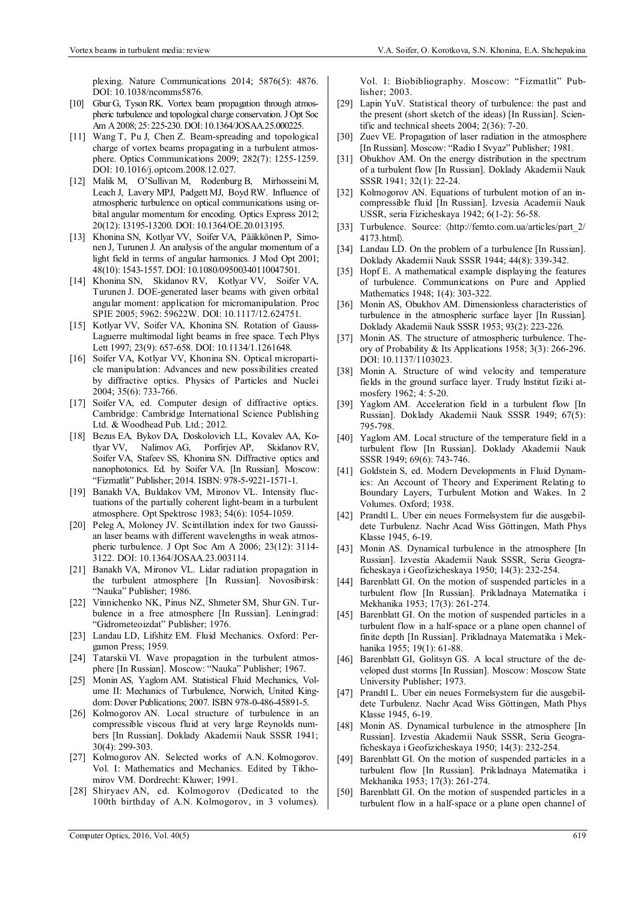plexing. Nature Communications 2014; 5876(5): 4876. DOI: 10.1038/ncomms5876.

- [10] Gbur G, Tyson RK. Vortex beam propagation through atmospheric turbulence and topological charge conservation. J Opt Soc Am A 2008; 25: 225-230. DOI: 10.1364/JOSAA.25.000225.
- [11] Wang T, Pu J, Chen Z. Beam-spreading and topological charge of vortex beams propagating in a turbulent atmosphere. Optics Communications 2009; 282(7): 1255-1259. DOI: 10.1016/j.optcom.2008.12.027.
- [12] Malik M, O'Sullivan M, Rodenburg B, Mirhosseini M, Leach J, Lavery MPJ, Padgett MJ, Boyd RW. Influence of atmospheric turbulence on optical communications using orbital angular momentum for encoding. Optics Express 2012; 20(12): 13195-13200. DOI: 10.1364/OE.20.013195.
- [13] Khonina SN, Kotlyar VV, Soifer VA, Pääkkönen P, Simonen J, Turunen J. An analysis of the angular momentum of a light field in terms of angular harmonics. J Mod Opt 2001; 48(10): 1543-1557. DOI: 10.1080/09500340110047501.
- [14] Khonina SN, Skidanov RV, Kotlyar VV, Soifer VA, Turunen J. DOE-generated laser beams with given orbital angular moment: application for micromanipulation. Proc SPIE 2005; 5962: 59622W. DOI: 10.1117/12.624751.
- [15] Kotlyar VV, Soifer VA, Khonina SN. Rotation of Gauss-Laguerre multimodal light beams in free space. Tech Phys Lett 1997; 23(9): 657-658. DOI: 10.1134/1.1261648.
- [16] Soifer VA, Kotlyar VV, Khonina SN. Optical microparticle manipulation: Advances and new possibilities created by diffractive optics. Physics of Particles and Nuclei 2004; 35(6): 733-766.
- [17] Soifer VA, ed. Computer design of diffractive optics. Cambridge: Cambridge International Science Publishing Ltd. & Woodhead Pub. Ltd.; 2012.
- [18] Bezus EA, Bykov DA, Doskolovich LL, Kovalev AA, Kotlyar VV, Nalimov AG, Porfirjev AP, Skidanov RV, Soifer VA, Stafeev SS, Khonina SN. Diffractive optics and nanophotonics. Ed. by Soifer VA. [In Russian]. Moscow: "Fizmatlit" Publisher; 2014. ISBN: 978-5-9221-1571-1.
- [19] Banakh VA, Buldakov VM, Mironov VL. Intensity fluctuations of the partially coherent light-beam in a turbulent atmosphere. Opt Spektrosc 1983; 54(6): 1054-1059.
- [20] Peleg A, Moloney JV. Scintillation index for two Gaussian laser beams with different wavelengths in weak atmospheric turbulence. J Opt Soc Am A 2006; 23(12): 3114- 3122. DOI: 10.1364/JOSAA.23.003114.
- [21] Banakh VA, Mironov VL. Lidar radiation propagation in the turbulent atmosphere [In Russian]. Novosibirsk: "Nauka" Publisher; 1986.
- [22] Vinnichenko NK, Pinus NZ, Shmeter SM, Shur GN. Turbulence in a free atmosphere [In Russian]. Leningrad: "Gidrometeoizdat" Publisher; 1976.
- [23] Landau LD, Lifshitz EM. Fluid Mechanics. Oxford: Pergamon Press; 1959.
- [24] Tatarskii VI. Wave propagation in the turbulent atmosphere [In Russian]. Moscow: "Nauka" Publisher; 1967.
- [25] Monin AS, Yaglom AM. Statistical Fluid Mechanics, Volume II: Mechanics of Turbulence, Norwich, United Kingdom: Dover Publications; 2007. ISBN 978-0-486-45891-5.
- [26] Kolmogorov AN. Local structure of turbulence in an compressible viscous fluid at very large Reynolds numbers [In Russian]. Doklady Akademii Nauk SSSR 1941; 30(4): 299-303.
- [27] Kolmogorov AN. Selected works of A.N. Kolmogorov. Vol. I: Mathematics and Mechanics. Edited by Tikhomirov VM. Dordrecht: Kluwer; 1991.
- [28] Shiryaev AN, ed. Kolmogorov (Dedicated to the 100th birthday of A.N. Kolmogorov, in 3 volumes).

Vol. I: Biobibliography. Moscow: "Fizmatlit" Publisher; 2003.

- [29] Lapin YuV. Statistical theory of turbulence: the past and the present (short sketch of the ideas) [In Russian]. Scientific and technical sheets 2004; 2(36): 7-20.
- [30] Zuev VE. Propagation of laser radiation in the atmosphere [In Russian]. Moscow: "Radio I Svyaz" Publisher; 1981.
- [31] Obukhov AM. On the energy distribution in the spectrum of a turbulent flow [In Russian]. Doklady Akademii Nauk SSSR 1941; 32(1): 22-24.
- [32] Kolmogorov AN. Equations of turbulent motion of an incompressible fluid [In Russian]. Izvesia Academii Nauk USSR, seria Fizicheskaya 1942; 6(1-2): 56-58.
- [33] Turbulence. Source:  $\frac{\text{http://femto.com.ua/articles/part_2/}}{$ 4173.html*.*
- [34] Landau LD. On the problem of a turbulence [In Russian]. Doklady Akademii Nauk SSSR 1944; 44(8): 339-342.
- [35] Hopf E. A mathematical example displaying the features of turbulence. Communications on Pure and Applied Mathematics 1948; 1(4): 303-322.
- [36] Monin AS, Obukhov AM. Dimensionless characteristics of turbulence in the atmospheric surface layer [In Russian]. Doklady Akademii Nauk SSSR 1953; 93(2): 223-226.
- [37] Monin AS. The structure of atmospheric turbulence. Theory of Probability & Its Applications 1958; 3(3): 266-296. DOI: 10.1137/1103023.
- [38] Monin A. Structure of wind velocity and temperature fields in the ground surface layer. Trudy lnstitut fiziki atmosfery 1962; 4: 5-20.
- [39] Yaglom AM. Acceleration field in a turbulent flow [In Russian]. Doklady Akademii Nauk SSSR 1949; 67(5): 795-798.
- [40] Yaglom AM. Local structure of the temperature field in a turbulent flow [In Russian]. Doklady Akademii Nauk SSSR 1949; 69(6): 743-746.
- [41] Goldstein S, ed. Modern Developments in Fluid Dynamics: An Account of Theory and Experiment Relating to Boundary Layers, Turbulent Motion and Wakes. In 2 Volumes. Oxford; 1938.
- [42] Prandtl L. Uber ein neues Formelsystem fur die ausgebildete Turbulenz. Nachr Acad Wiss Göttingen, Math Phys Klasse 1945, 6-19.
- [43] Monin AS. Dynamical turbulence in the atmosphere [In Russian]. Izvestia Akademii Nauk SSSR, Seria Geograficheskaya i Geofizicheskaya 1950; 14(3): 232-254.
- [44] Barenblatt GI. On the motion of suspended particles in a turbulent flow [In Russian]. Prikladnaya Matematika i Mekhanika 1953; 17(3): 261-274.
- [45] Barenblatt GI. On the motion of suspended particles in a turbulent flow in a half-space or a plane open channel of finite depth [In Russian]. Prikladnaya Matematika i Mekhanika 1955; 19(1): 61-88.
- [46] Barenblatt GI, Golitsyn GS. A local structure of the developed dust storms [In Russian]. Moscow: Moscow State University Publisher; 1973.
- [47] Prandtl L. Uber ein neues Formelsystem fur die ausgebildete Turbulenz. Nachr Acad Wiss Göttingen, Math Phys Klasse 1945, 6-19.
- [48] Monin AS. Dynamical turbulence in the atmosphere [In Russian]. Izvestia Akademii Nauk SSSR, Seria Geograficheskaya i Geofizicheskaya 1950; 14(3): 232-254.
- [49] Barenblatt GI. On the motion of suspended particles in a turbulent flow [In Russian]. Prikladnaya Matematika i Mekhanika 1953; 17(3): 261-274.
- [50] Barenblatt GI. On the motion of suspended particles in a turbulent flow in a half-space or a plane open channel of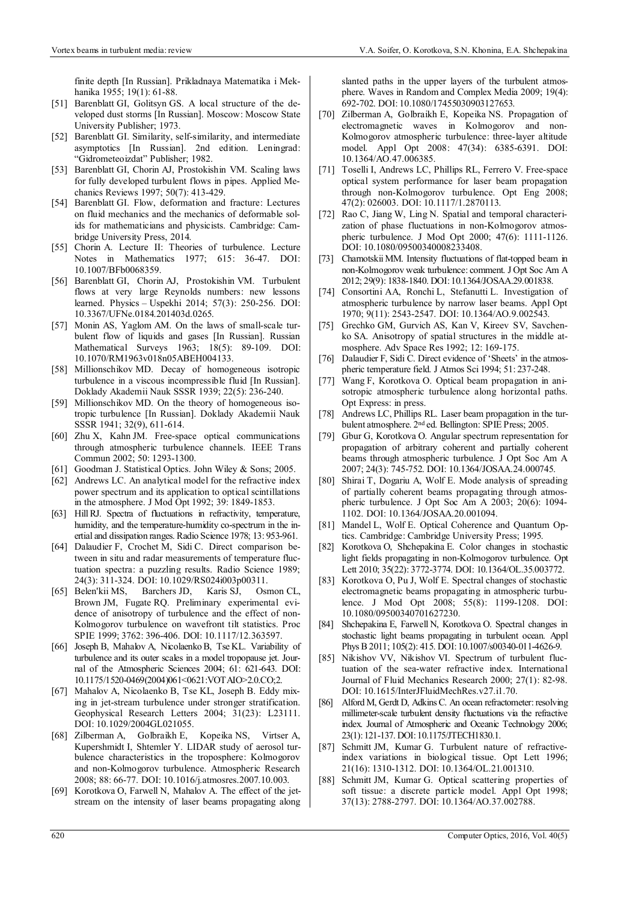finite depth [In Russian]. Prikladnaya Matematika i Mekhanika 1955; 19(1): 61-88.

- [51] Barenblatt GI, Golitsyn GS. A local structure of the developed dust storms [In Russian]. Moscow: Moscow State University Publisher; 1973.
- [52] Barenblatt GI. Similarity, self-similarity, and intermediate asymptotics [In Russian]. 2nd edition. Leningrad: "Gidrometeoizdat" Publisher; 1982.
- [53] Barenblatt GI, Chorin AJ, Prostokishin VM. Scaling laws for fully developed turbulent flows in pipes. Applied Mechanics Reviews 1997; 50(7): 413-429.
- [54] Barenblatt GI. Flow, deformation and fracture: Lectures on fluid mechanics and the mechanics of deformable solids for mathematicians and physicists. Cambridge: Cambridge University Press, 2014.
- [55] Chorin A. Lecture II: Theories of turbulence. Lecture Notes in Mathematics 1977; 615: 36-47. DOI: 10.1007/BFb0068359.
- [56] Barenblatt GI, Chorin AJ, Prostokishin VM. Turbulent flows at very large Reynolds numbers: new lessons learned. Physics – Uspekhi 2014; 57(3): 250-256. DOI: 10.3367/UFNe.0184.201403d.0265.
- [57] Monin AS, Yaglom AM. On the laws of small-scale turbulent flow of liquids and gases [In Russian]. Russian Mathematical Surveys 1963; 18(5): 89-109. DOI: 10.1070/RM1963v018n05ABEH004133.
- [58] Millionschikov MD. Decay of homogeneous isotropic turbulence in a viscous incompressible fluid [In Russian]. Doklady Akademii Nauk SSSR 1939; 22(5): 236-240.
- [59] Millionschikov MD. On the theory of homogeneous isotropic turbulence [In Russian]. Doklady Akademii Nauk SSSR 1941; 32(9), 611-614.
- [60] Zhu X, Kahn JM. Free-space optical communications through atmospheric turbulence channels. IEEE Trans Commun 2002; 50: 1293-1300.
- [61] Goodman J. Statistical Optics. John Wiley & Sons; 2005.
- [62] Andrews LC. An analytical model for the refractive index power spectrum and its application to optical scintillations in the atmosphere. J Mod Opt 1992; 39: 1849-1853.
- [63] Hill RJ. Spectra of fluctuations in refractivity, temperature, humidity, and the temperature-humidity co-spectrum in the inertial and dissipation ranges. Radio Science 1978; 13: 953-961.
- [64] Dalaudier F, Crochet M, Sidi C. Direct comparison between in situ and radar measurements of temperature fluctuation spectra: a puzzling results. Radio Science 1989; 24(3): 311-324. DOI: 10.1029/RS024i003p00311.
- [65] Belen'kii MS, Barchers JD, Karis SJ, Osmon CL, Brown JM, Fugate RQ. Preliminary experimental evidence of anisotropy of turbulence and the effect of non-Kolmogorov turbulence on wavefront tilt statistics. Proc SPIE 1999; 3762: 396-406. DOI: 10.1117/12.363597.
- [66] Joseph B, Mahalov A, Nicolaenko B, Tse KL. Variability of turbulence and its outer scales in a model tropopause jet. Journal of the Atmospheric Sciences 2004; 61: 621-643. DOI: 10.1175/1520-0469(2004)061<0621:VOTAIO>2.0.CO;2.
- [67] Mahalov A, Nicolaenko B, Tse KL, Joseph B. Eddy mixing in jet-stream turbulence under stronger stratification. Geophysical Research Letters 2004; 31(23): L23111. DOI: 10.1029/2004GL021055.
- [68] Zilberman A, Golbraikh E, Kopeika NS, Virtser A, Kupershmidt I, Shtemler Y. LIDAR study of aerosol turbulence characteristics in the troposphere: Kolmogorov and non-Kolmogorov turbulence. Atmospheric Research 2008; 88: 66-77. DOI: 10.1016/j.atmosres.2007.10.003.
- [69] Korotkova O, Farwell N, Mahalov A. The effect of the jetstream on the intensity of laser beams propagating along

slanted paths in the upper layers of the turbulent atmosphere. Waves in Random and Complex Media 2009; 19(4): 692-702. DOI: 10.1080/17455030903127653.

- [70] Zilberman A, Golbraikh E, Kopeika NS. Propagation of electromagnetic waves in Kolmogorov and non-Kolmogorov atmospheric turbulence: three-layer altitude model. Appl Opt 2008: 47(34): 6385-6391. DOI: 10.1364/AO.47.006385.
- [71] Toselli I, Andrews LC, Phillips RL, Ferrero V. Free-space optical system performance for laser beam propagation through non-Kolmogorov turbulence. Opt Eng 2008; 47(2): 026003. DOI: 10.1117/1.2870113.
- [72] Rao C, Jiang W, Ling N. Spatial and temporal characterization of phase fluctuations in non-Kolmogorov atmospheric turbulence. J Mod Opt 2000; 47(6): 1111-1126. DOI: 10.1080/09500340008233408.
- [73] Charnotskii MM. Intensity fluctuations of flat-topped beam in non-Kolmogorov weak turbulence: comment. J Opt Soc Am A 2012; 29(9): 1838-1840. DOI: 10.1364/JOSAA.29.001838.
- [74] Consortini AA, Ronchi L, Stefanutti L, Investigation of atmospheric turbulence by narrow laser beams. Appl Opt 1970; 9(11): 2543-2547. DOI: 10.1364/AO.9.002543.
- [75] Grechko GM, Gurvich AS, Kan V, Kireev SV, Savchenko SA. Anisotropy of spatial structures in the middle atmosphere. Adv Space Res 1992; 12: 169-175.
- [76] Dalaudier F, Sidi C. Direct evidence of 'Sheets' in the atmospheric temperature field. J Atmos Sci 1994; 51: 237-248.
- [77] Wang F, Korotkova O. Optical beam propagation in anisotropic atmospheric turbulence along horizontal paths. Opt Express: in press.
- [78] Andrews LC, Phillips RL. Laser beam propagation in the turbulent atmosphere. 2nd ed. Bellington: SPIE Press; 2005.
- [79] Gbur G, Korotkova O. Angular spectrum representation for propagation of arbitrary coherent and partially coherent beams through atmospheric turbulence. J Opt Soc Am A 2007; 24(3): 745-752. DOI: 10.1364/JOSAA.24.000745.
- [80] Shirai T, Dogariu A, Wolf E. Mode analysis of spreading of partially coherent beams propagating through atmospheric turbulence. J Opt Soc Am A 2003; 20(6): 1094- 1102. DOI: 10.1364/JOSAA.20.001094.
- [81] Mandel L, Wolf E. Optical Coherence and Quantum Optics. Cambridge: Cambridge University Press; 1995.
- [82] Korotkova O, Shchepakina E. Color changes in stochastic light fields propagating in non-Kolmogorov turbulence. Opt Lett 2010; 35(22): 3772-3774. DOI: 10.1364/OL.35.003772.
- [83] Korotkova O, Pu J, Wolf E. Spectral changes of stochastic electromagnetic beams propagating in atmospheric turbulence. J Mod Opt 2008; 55(8): 1199-1208. DOI: 10.1080/09500340701627230.
- [84] Shchepakina E, Farwell N, Korotkova O. Spectral changes in stochastic light beams propagating in turbulent ocean. Appl Phys B 2011; 105(2): 415. DOI: 10.1007/s00340-011-4626-9.
- [85] Nikishov VV, Nikishov VI. Spectrum of turbulent fluctuation of the sea-water refractive index. International Journal of Fluid Mechanics Research 2000; 27(1): 82-98. DOI: 10.1615/InterJFluidMechRes.v27.i1.70.
- [86] Alford M, Gerdt D, Adkins C. An ocean refractometer: resolving millimeter-scale turbulent density fluctuations via the refractive index. Journal of Atmospheric and Oceanic Technology 2006; 23(1): 121-137. DOI: 10.1175/JTECH1830.1.
- [87] Schmitt JM, Kumar G. Turbulent nature of refractiveindex variations in biological tissue. Opt Lett 1996; 21(16): 1310-1312. DOI: 10.1364/OL.21.001310.
- [88] Schmitt JM, Kumar G. Optical scattering properties of soft tissue: a discrete particle model. Appl Opt 1998; 37(13): 2788-2797. DOI: 10.1364/AO.37.002788.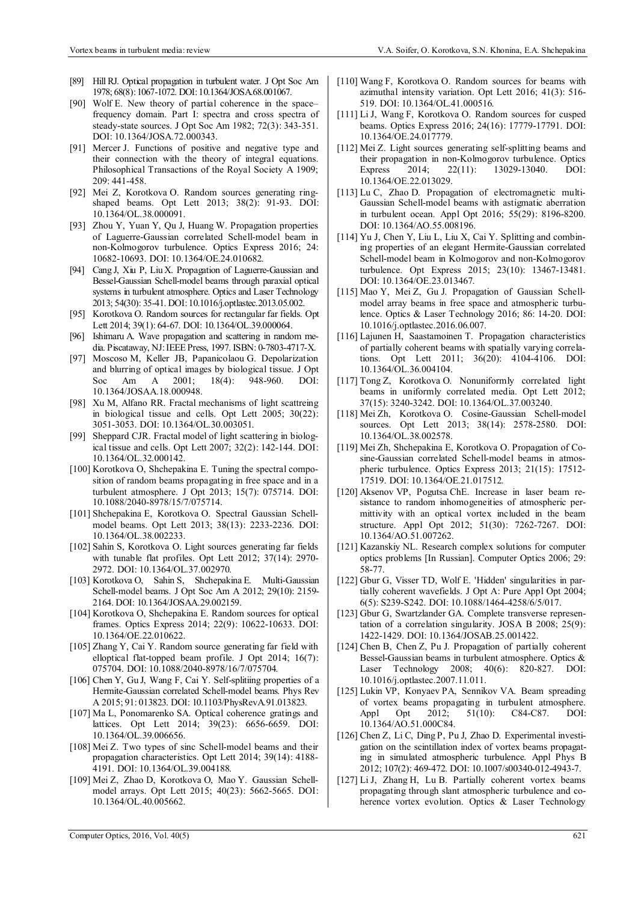- [89] Hill RJ. Optical propagation in turbulent water. J Opt Soc Am 1978; 68(8): 1067-1072. DOI: 10.1364/JOSA.68.001067.
- [90] Wolf E. New theory of partial coherence in the space– frequency domain. Part I: spectra and cross spectra of steady-state sources. J Opt Soc Am 1982; 72(3): 343-351. DOI: 10.1364/JOSA.72.000343.
- [91] Mercer J. Functions of positive and negative type and their connection with the theory of integral equations. Philosophical Transactions of the Royal Society A 1909; 209: 441-458.
- [92] Mei Z, Korotkova O. Random sources generating ringshaped beams. Opt Lett 2013; 38(2): 91-93. DOI: 10.1364/OL.38.000091.
- [93] Zhou Y, Yuan Y, Qu J, Huang W. Propagation properties of Laguerre-Gaussian correlated Schell-model beam in non-Kolmogorov turbulence. Optics Express 2016; 24: 10682-10693. DOI: 10.1364/OE.24.010682.
- [94] Cang J, Xiu P, Liu X. Propagation of Laguerre-Gaussian and Bessel-Gaussian Schell-model beams through paraxial optical systems in turbulent atmosphere. Optics and Laser Technology 2013; 54(30): 35-41. DOI: 10.1016/j.optlastec.2013.05.002.
- [95] Korotkova O. Random sources for rectangular far fields. Opt Lett 2014; 39(1): 64-67. DOI: 10.1364/OL.39.000064.
- [96] Ishimaru A. Wave propagation and scattering in random media. Piscataway, NJ: IEEE Press, 1997. ISBN: 0-7803-4717-X.
- [97] Moscoso M, Keller JB, Papanicolaou G. Depolarization and blurring of optical images by biological tissue. J Opt Soc Am A 2001; 18(4): 948-960. DOI: 10.1364/JOSAA.18.000948.
- [98] Xu M, Alfano RR. Fractal mechanisms of light scattreing in biological tissue and cells. Opt Lett 2005; 30(22): 3051-3053. DOI: 10.1364/OL.30.003051.
- [99] Sheppard CJR. Fractal model of light scattering in biological tissue and cells. Opt Lett 2007; 32(2): 142-144. DOI: 10.1364/OL.32.000142.
- [100] Korotkova O, Shchepakina E. Tuning the spectral composition of random beams propagating in free space and in a turbulent atmosphere. J Opt 2013; 15(7): 075714. DOI: 10.1088/2040-8978/15/7/075714.
- [101] Shchepakina E, Korotkova O. Spectral Gaussian Schellmodel beams. Opt Lett 2013; 38(13): 2233-2236. DOI: 10.1364/OL.38.002233.
- [102] Sahin S, Korotkova O. Light sources generating far fields with tunable flat profiles. Opt Lett 2012; 37(14): 2970- 2972. DOI: 10.1364/OL.37.002970.
- [103] Korotkova O, Sahin S, Shchepakina E. Multi-Gaussian Schell-model beams. J Opt Soc Am A 2012; 29(10): 2159- 2164. DOI: 10.1364/JOSAA.29.002159.
- [104] Korotkova O, Shchepakina E. Random sources for optical frames. Optics Express 2014; 22(9): 10622-10633. DOI: 10.1364/OE.22.010622.
- [105] Zhang Y, Cai Y. Random source generating far field with elloptical flat-topped beam profile. J Opt 2014; 16(7): 075704. DOI: 10.1088/2040-8978/16/7/075704.
- [106] Chen Y, Gu J, Wang F, Cai Y. Self-splitiing properties of a Hermite-Gaussian correlated Schell-model beams. Phys Rev A 2015; 91: 013823. DOI: 10.1103/PhysRevA.91.013823.
- [107] Ma L, Ponomarenko SA. Optical coherence gratings and lattices. Opt Lett 2014; 39(23): 6656-6659. DOI: 10.1364/OL.39.006656.
- [108] Mei Z. Two types of sinc Schell-model beams and their propagation characteristics. Opt Lett 2014; 39(14): 4188- 4191. DOI: 10.1364/OL.39.004188.
- [109] Mei Z, Zhao D, Korotkova O, Mao Y. Gaussian Schellmodel arrays. Opt Lett 2015; 40(23): 5662-5665. DOI: 10.1364/OL.40.005662.
- [110] Wang F, Korotkova O, Random sources for beams with azimuthal intensity variation. Opt Lett 2016; 41(3): 516- 519. DOI: 10.1364/OL.41.000516.
- [111] Li J, Wang F, Korotkova O. Random sources for cusped beams. Optics Express 2016; 24(16): 17779-17791. DOI: 10.1364/OE.24.017779.
- [112] Mei Z. Light sources generating self-splitting beams and their propagation in non-Kolmogorov turbulence. Optics Express 2014; 22(11): 13029-13040. DOI: 10.1364/OE.22.013029.
- [113] Lu C, Zhao D. Propagation of electromagnetic multi-Gaussian Schell-model beams with astigmatic aberration in turbulent ocean. Appl Opt 2016; 55(29): 8196-8200. DOI: 10.1364/AO.55.008196.
- [114] Yu J, Chen Y, Liu L, Liu X, Cai Y. Splitting and combining properties of an elegant Hermite-Gaussian correlated Schell-model beam in Kolmogorov and non-Kolmogorov turbulence. Opt Express 2015; 23(10): 13467-13481. DOI: 10.1364/OE.23.013467.
- [115] Mao Y, Mei Z, Gu J, Propagation of Gaussian Schellmodel array beams in free space and atmospheric turbulence. Optics & Laser Technology 2016; 86: 14-20. DOI: 10.1016/j.optlastec.2016.06.007.
- [116] Lajunen H, Saastamoinen T. Propagation characteristics of partially coherent beams with spatially varying correlations. Opt Lett 2011; 36(20): 4104-4106. DOI: 10.1364/OL.36.004104.
- [117] Tong Z, Korotkova O. Nonuniformly correlated light beams in uniformly correlated media. Opt Lett 2012; 37(15): 3240-3242. DOI: 10.1364/OL.37.003240.
- [118] Mei Zh, Korotkova O. Cosine-Gaussian Schell-model sources. Opt Lett 2013; 38(14): 2578-2580. DOI: 10.1364/OL.38.002578.
- [119] Mei Zh, Shchepakina E, Korotkova O. Propagation of Cosine-Gaussian correlated Schell-model beams in atmospheric turbulence. Optics Express 2013; 21(15): 17512- 17519. DOI: 10.1364/OE.21.017512.
- [120] Aksenov VP, Pogutsa ChE. Increase in laser beam resistance to random inhomogeneities of atmospheric permittivity with an optical vortex included in the beam structure. Appl Opt 2012; 51(30): 7262-7267. DOI: 10.1364/AO.51.007262.
- [121] Kazanskiy NL. Research complex solutions for computer optics problems [In Russian]. Computer Optics 2006; 29: 58-77.
- [122] Gbur G, Visser TD, Wolf E. 'Hidden' singularities in partially coherent wavefields. J Opt A: Pure Appl Opt 2004; 6(5): S239-S242. DOI: 10.1088/1464-4258/6/5/017.
- [123] Gbur G, Swartzlander GA. Complete transverse representation of a correlation singularity. JOSA B 2008; 25(9): 1422-1429. DOI: 10.1364/JOSAB.25.001422.
- [124] Chen B, Chen Z, Pu J. Propagation of partially coherent Bessel-Gaussian beams in turbulent atmosphere. Optics & Laser Technology 2008; 40(6): 820-827. DOI: 10.1016/j.optlastec.2007.11.011.
- [125] Lukin VP, Konyaev PA, Sennikov VA. Beam spreading of vortex beams propagating in turbulent atmosphere. Appl Opt 2012; 51(10): C84-C87. DOI: 10.1364/AO.51.000C84.
- [126] Chen Z, Li C, Ding P, Pu J, Zhao D. Experimental investigation on the scintillation index of vortex beams propagating in simulated atmospheric turbulence. Appl Phys B 2012; 107(2): 469-472. DOI: 10.1007/s00340-012-4943-7.
- [127] Li J, Zhang H, Lu B. Partially coherent vortex beams propagating through slant atmospheric turbulence and coherence vortex evolution. Optics & Laser Technology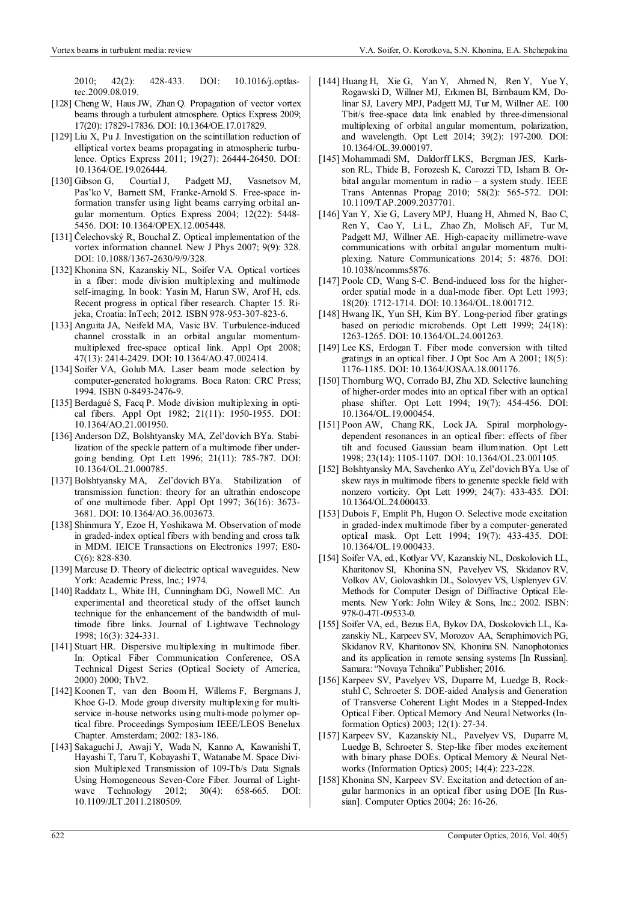2010; 42(2): 428-433. DOI: 10.1016/j.optlastec.2009.08.019.

- [128] Cheng W, Haus JW, Zhan Q. Propagation of vector vortex beams through a turbulent atmosphere. Optics Express 2009; 17(20): 17829-17836. DOI: 10.1364/OE.17.017829.
- [129] Liu X, Pu J. Investigation on the scintillation reduction of elliptical vortex beams propagating in atmospheric turbulence. Optics Express 2011; 19(27): 26444-26450. DOI: 10.1364/OE.19.026444.
- [130] Gibson G, Courtial J, Padgett MJ, Vasnetsov M, Pas'ko V, Barnett SM, Franke-Arnold S. Free-space information transfer using light beams carrying orbital angular momentum. Optics Express 2004; 12(22): 5448- 5456. DOI: 10.1364/OPEX.12.005448.
- [131] Čelechovský R, Bouchal Z. Optical implementation of the vortex information channel. New J Phys 2007; 9(9): 328. DOI: 10.1088/1367-2630/9/9/328.
- [132] Khonina SN, Kazanskiy NL, Soifer VA. Optical vortices in a fiber: mode division multiplexing and multimode self-imaging. In book: Yasin M, Harun SW, Arof H, eds. Recent progress in optical fiber research. Chapter 15. Rijeka, Croatia: InTech; 2012. ISBN 978-953-307-823-6.
- [133] Anguita JA, Neifeld MA, Vasic BV. Turbulence-induced channel crosstalk in an orbital angular momentummultiplexed free-space optical link. Appl Opt 2008; 47(13): 2414-2429. DOI: 10.1364/AO.47.002414.
- [134] Soifer VA, Golub MA. Laser beam mode selection by computer-generated holograms. Boca Raton: CRC Press; 1994. ISBN 0-8493-2476-9.
- [135] Berdagué S, Facq P. Mode division multiplexing in optical fibers. Appl Opt 1982; 21(11): 1950-1955. DOI: 10.1364/AO.21.001950.
- [136] Anderson DZ, Bolshtyansky MA, Zel'dovich BYa. Stabilization of the speckle pattern of a multimode fiber undergoing bending. Opt Lett 1996; 21(11): 785-787. DOI: 10.1364/OL.21.000785.
- [137] Bolshtyansky MA, Zel'dovich BYa. Stabilization of transmission function: theory for an ultrathin endoscope of one multimode fiber. Appl Opt 1997; 36(16): 3673- 3681. DOI: 10.1364/AO.36.003673.
- [138] Shinmura Y, Ezoe H, Yoshikawa M. Observation of mode in graded-index optical fibers with bending and cross talk in MDM. IEICE Transactions on Electronics 1997; E80- C(6): 828-830.
- [139] Marcuse D. Theory of dielectric optical waveguides. New York: Academic Press, Inc.; 1974.
- [140] Raddatz L, White IH, Cunningham DG, Nowell MC. An experimental and theoretical study of the offset launch technique for the enhancement of the bandwidth of multimode fibre links. Journal of Lightwave Technology 1998; 16(3): 324-331.
- [141] Stuart HR. Dispersive multiplexing in multimode fiber. In: Optical Fiber Communication Conference, OSA Technical Digest Series (Optical Society of America, 2000) 2000; ThV2.
- [142] Koonen T, van den Boom H, Willems F, Bergmans J, Khoe G-D. Mode group diversity multiplexing for multiservice in-house networks using multi-mode polymer optical fibre. Proceedings Symposium IEEE/LEOS Benelux Chapter. Amsterdam; 2002: 183-186.
- [143] Sakaguchi J, Awaji Y, Wada N, Kanno A, Kawanishi T, Hayashi T, Taru T, Kobayashi T, Watanabe M. Space Division Multiplexed Transmission of 109-Tb/s Data Signals Using Homogeneous Seven-Core Fiber. Journal of Lightwave Technology 2012; 30(4): 658-665. DOI: 10.1109/JLT.2011.2180509.
- [144] Huang H, Xie G, Yan Y, Ahmed N, Ren Y, Yue Y, Rogawski D, Willner MJ, Erkmen BI, Birnbaum KM, Dolinar SJ, Lavery MPJ, Padgett MJ, Tur M, Willner AE. 100 Tbit/s free-space data link enabled by three-dimensional multiplexing of orbital angular momentum, polarization, and wavelength. Opt Lett 2014; 39(2): 197-200. DOI: 10.1364/OL.39.000197.
- [145] Mohammadi SM, Daldorff LKS, Bergman JES, Karlsson RL, Thide B, Forozesh K, Carozzi TD, Isham B. Orbital angular momentum in radio – a system study. IEEE Trans Antennas Propag 2010; 58(2): 565-572. DOI: 10.1109/TAP.2009.2037701.
- [146] Yan Y, Xie G, Lavery MPJ, Huang H, Ahmed N, Bao C, Ren Y, Cao Y, Li L, Zhao Zh, Molisch AF, Tur M, Padgett MJ, Willner AE. High-capacity millimetre-wave communications with orbital angular momentum multiplexing. Nature Communications 2014; 5: 4876. DOI: 10.1038/ncomms5876.
- [147] Poole CD, Wang S-C. Bend-induced loss for the higherorder spatial mode in a dual-mode fiber. Opt Lett 1993; 18(20): 1712-1714. DOI: 10.1364/OL.18.001712.
- [148] Hwang IK, Yun SH, Kim BY. Long-period fiber gratings based on periodic microbends. Opt Lett 1999; 24(18): 1263-1265. DOI: 10.1364/OL.24.001263.
- [149] Lee KS, Erdogan T. Fiber mode conversion with tilted gratings in an optical fiber. J Opt Soc Am A 2001; 18(5): 1176-1185. DOI: 10.1364/JOSAA.18.001176.
- [150] Thornburg WQ, Corrado BJ, Zhu XD. Selective launching of higher-order modes into an optical fiber with an optical phase shifter. Opt Lett 1994; 19(7): 454-456. DOI: 10.1364/OL.19.000454.
- [151] Poon AW, Chang RK, Lock JA. Spiral morphologydependent resonances in an optical fiber: effects of fiber tilt and focused Gaussian beam illumination. Opt Lett 1998; 23(14): 1105-1107. DOI: 10.1364/OL.23.001105.
- [152] Bolshtyansky MA, Savchenko AYu, Zel'dovich BYa. Use of skew rays in multimode fibers to generate speckle field with nonzero vorticity. Opt Lett 1999; 24(7): 433-435. DOI: 10.1364/OL.24.000433.
- [153] Dubois F, Emplit Ph, Hugon O. Selective mode excitation in graded-index multimode fiber by a computer-generated optical mask. Opt Lett 1994; 19(7): 433-435. DOI: 10.1364/OL.19.000433.
- [154] Soifer VA, ed., Kotlyar VV, Kazanskiy NL, Doskolovich LL, Kharitonov SI, Khonina SN, Pavelyev VS, Skidanov RV, Volkov AV, Golovashkin DL, Solovyev VS, Usplenyev GV. Methods for Computer Design of Diffractive Optical Elements. New York: John Wiley & Sons, Inc.; 2002. ISBN: 978-0-471-09533-0.
- [155] Soifer VA, ed., Bezus EA, Bykov DA, Doskolovich LL, Kazanskiy NL, Karpeev SV, Morozov AA, Seraphimovich PG, Skidanov RV, Kharitonov SN, Khonina SN. Nanophotonics and its application in remote sensing systems [In Russian]. Samara: "Novaya Tehnika" Publisher; 2016.
- [156] Karpeev SV, Pavelyev VS, Duparre M, Luedge B, Rockstuhl C, Schroeter S. DOE-aided Analysis and Generation of Transverse Coherent Light Modes in a Stepped-Index Optical Fiber. Optical Memory And Neural Networks (Information Optics) 2003; 12(1): 27-34.
- [157] Karpeev SV, Kazanskiy NL, Pavelyev VS, Duparre M, Luedge B, Schroeter S. Step-like fiber modes excitement with binary phase DOEs. Optical Memory & Neural Networks (Information Optics) 2005; 14(4): 223-228.
- [158] Khonina SN, Karpeev SV. Excitation and detection of angular harmonics in an optical fiber using DOE [In Russian]. Computer Optics 2004; 26: 16-26.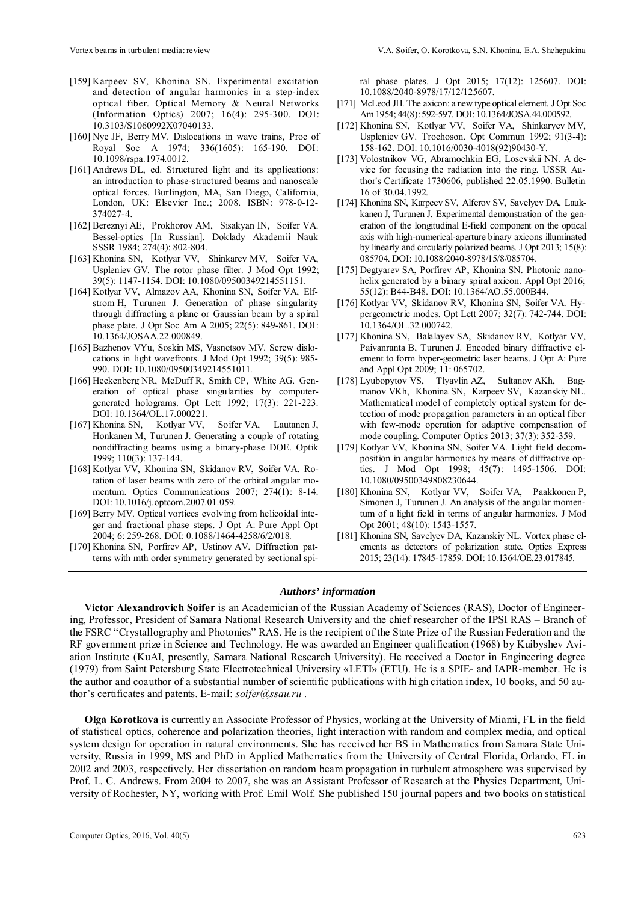- [159] Karpeev SV, Khonina SN. Experimental excitation and detection of angular harmonics in a step-index optical fiber. Optical Memory & Neural Networks (Information Optics) 2007; 16(4): 295-300. DOI: 10.3103/S1060992X07040133.
- [160] Nye JF, Berry MV. Dislocations in wave trains, Proc of Royal Soc A 1974; 336(1605): 165-190. DOI: 10.1098/rspa.1974.0012.
- [161] Andrews DL, ed. Structured light and its applications: an introduction to phase-structured beams and nanoscale optical forces. Burlington, MA, San Diego, California, London, UK: Elsevier Inc.; 2008. ISBN: 978-0-12- 374027-4.
- [162] Bereznyi AE, Prokhorov AM, Sisakyan IN, Soifer VA. Bessel-optics [In Russian]. Doklady Akademii Nauk SSSR 1984; 274(4): 802-804.
- [163] Khonina SN, Kotlyar VV, Shinkarev MV, Soifer VA, Uspleniev GV. The rotor phase filter. J Mod Opt 1992; 39(5): 1147-1154. DOI: 10.1080/09500349214551151.
- [164] Kotlyar VV, Almazov AA, Khonina SN, Soifer VA, Elfstrom H, Turunen J. Generation of phase singularity through diffracting a plane or Gaussian beam by a spiral phase plate. J Opt Soc Am A 2005; 22(5): 849-861. DOI: 10.1364/JOSAA.22.000849.
- [165] Bazhenov VYu, Soskin MS, Vasnetsov MV. Screw dislocations in light wavefronts. J Mod Opt 1992; 39(5): 985- 990. DOI: 10.1080/09500349214551011.
- [166] Heckenberg NR, McDuff R, Smith CP, White AG. Generation of optical phase singularities by computergenerated holograms. Opt Lett 1992; 17(3): 221-223. DOI: 10.1364/OL.17.000221.
- [167] Khonina SN, Kotlyar VV, Soifer VA, Lautanen J, Honkanen M, Turunen J. Generating a couple of rotating nondiffracting beams using a binary-phase DOE. Optik 1999; 110(3): 137-144.
- [168] Kotlyar VV, Khonina SN, Skidanov RV, Soifer VA. Rotation of laser beams with zero of the orbital angular momentum. Optics Communications 2007; 274(1): 8-14. DOI: 10.1016/j.optcom.2007.01.059.
- [169] Berry MV. Optical vortices evolving from helicoidal integer and fractional phase steps. J Opt A: Pure Appl Opt 2004; 6: 259-268. DOI: 0.1088/1464-4258/6/2/018.
- [170] Khonina SN, Porfirev AP, Ustinov AV. Diffraction patterns with mth order symmetry generated by sectional spi-

ral phase plates. J Opt 2015; 17(12): 125607. DOI: 10.1088/2040-8978/17/12/125607.

- [171] McLeod JH. The axicon: a new type optical element. J Opt Soc Am 1954; 44(8): 592-597. DOI: 10.1364/JOSA.44.000592.
- [172] Khonina SN, Kotlyar VV, Soifer VA, Shinkaryev MV, Uspleniev GV. Trochoson. Opt Commun 1992; 91(3-4): 158-162. DOI: 10.1016/0030-4018(92)90430-Y.
- [173] Volostnikov VG, Abramochkin EG, Losevskii NN. A device for focusing the radiation into the ring. USSR Author's Certificate 1730606, published 22.05.1990. Bulletin 16 of 30.04.1992.
- [174] Khonina SN, Karpeev SV, Alferov SV, Savelyev DA, Laukkanen J, Turunen J. Experimental demonstration of the generation of the longitudinal E-field component on the optical axis with high-numerical-aperture binary axicons illuminated by linearly and circularly polarized beams. J Opt 2013; 15(8): 085704. DOI: 10.1088/2040-8978/15/8/085704.
- [175] Degtyarev SA, Porfirev AP, Khonina SN. Photonic nanohelix generated by a binary spiral axicon. Appl Opt 2016; 55(12): B44-B48. DOI: 10.1364/AO.55.000B44.
- [176] Kotlyar VV, Skidanov RV, Khonina SN, Soifer VA. Hypergeometric modes. Opt Lett 2007; 32(7): 742-744. DOI: 10.1364/OL.32.000742.
- [177] Khonina SN, Balalayev SA, Skidanov RV, Kotlyar VV, Paivanranta B, Turunen J. Encoded binary diffractive element to form hyper-geometric laser beams. J Opt A: Pure and Appl Opt 2009; 11: 065702.
- [178] Lyubopytov VS, Tlyavlin AZ, Sultanov AKh, Bagmanov VKh, Khonina SN, Karpeev SV, Kazanskiy NL. Mathematical model of completely optical system for detection of mode propagation parameters in an optical fiber with few-mode operation for adaptive compensation of mode coupling. Computer Optics 2013; 37(3): 352-359.
- [179] Kotlyar VV, Khonina SN, Soifer VA. Light field decomposition in angular harmonics by means of diffractive optics. J Mod Opt 1998; 45(7): 1495-1506. DOI: 10.1080/09500349808230644.
- [180] Khonina SN, Kotlyar VV, Soifer VA, Paakkonen P, Simonen J, Turunen J. An analysis of the angular momentum of a light field in terms of angular harmonics. J Mod Opt 2001; 48(10): 1543-1557.
- [181] Khonina SN, Savelyev DA, Kazanskiy NL. Vortex phase elements as detectors of polarization state. Optics Express 2015; 23(14): 17845-17859. DOI: 10.1364/OE.23.017845.

## *Authors' information*

**Victor Alexandrovich Soifer** is an Academician of the Russian Academy of Sciences (RAS), Doctor of Engineering, Professor, President of Samara National Research University and the chief researcher of the IPSI RAS – Branch of the FSRC "Crystallography and Photonics" RAS. He is the recipient of the State Prize of the Russian Federation and the RF government prize in Science and Technology. He was awarded an Engineer qualification (1968) by Kuibyshev Aviation Institute (KuAI, presently, Samara National Research University). He received a Doctor in Engineering degree (1979) from Saint Petersburg State Electrotechnical University «LETI» (ETU). He is a SPIE- and IAPR-member. He is the author and coauthor of a substantial number of scientific publications with high citation index, 10 books, and 50 author's certificates and patents. E-mail: *soifer@ssau.ru* .

**Olga Korotkova** is currently an Associate Professor of Physics, working at the University of Miami, FL in the field of statistical optics, coherence and polarization theories, light interaction with random and complex media, and optical system design for operation in natural environments. She has received her BS in Mathematics from Samara State University, Russia in 1999, MS and PhD in Applied Mathematics from the University of Central Florida, Orlando, FL in 2002 and 2003, respectively. Her dissertation on random beam propagation in turbulent atmosphere was supervised by Prof. L. C. Andrews. From 2004 to 2007, she was an Assistant Professor of Research at the Physics Department, University of Rochester, NY, working with Prof. Emil Wolf. She published 150 journal papers and two books on statistical